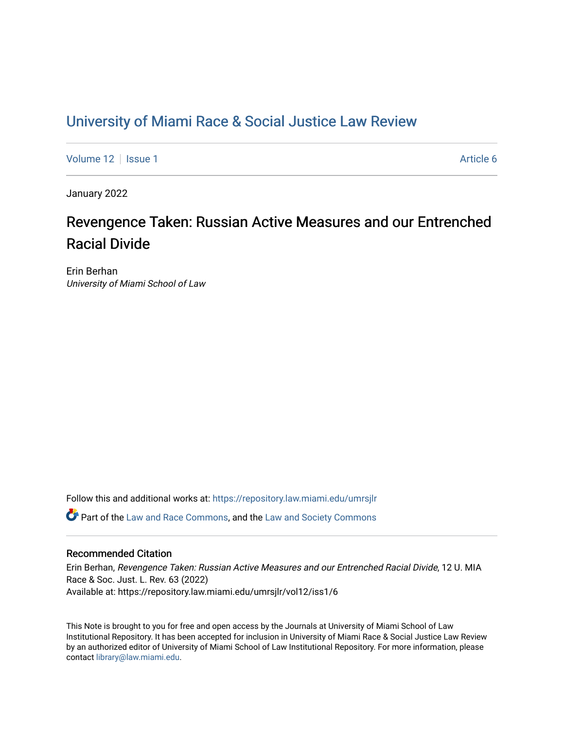# [University of Miami Race & Social Justice Law Review](https://repository.law.miami.edu/umrsjlr)

[Volume 12](https://repository.law.miami.edu/umrsjlr/vol12) | [Issue 1](https://repository.law.miami.edu/umrsjlr/vol12/iss1) Article 6

January 2022

# Revengence Taken: Russian Active Measures and our Entrenched Racial Divide

Erin Berhan University of Miami School of Law

Follow this and additional works at: [https://repository.law.miami.edu/umrsjlr](https://repository.law.miami.edu/umrsjlr?utm_source=repository.law.miami.edu%2Fumrsjlr%2Fvol12%2Fiss1%2F6&utm_medium=PDF&utm_campaign=PDFCoverPages)

Part of the [Law and Race Commons,](http://network.bepress.com/hgg/discipline/1300?utm_source=repository.law.miami.edu%2Fumrsjlr%2Fvol12%2Fiss1%2F6&utm_medium=PDF&utm_campaign=PDFCoverPages) and the [Law and Society Commons](http://network.bepress.com/hgg/discipline/853?utm_source=repository.law.miami.edu%2Fumrsjlr%2Fvol12%2Fiss1%2F6&utm_medium=PDF&utm_campaign=PDFCoverPages) 

# Recommended Citation

Erin Berhan, Revengence Taken: Russian Active Measures and our Entrenched Racial Divide, 12 U. MIA Race & Soc. Just. L. Rev. 63 (2022) Available at: https://repository.law.miami.edu/umrsjlr/vol12/iss1/6

This Note is brought to you for free and open access by the Journals at University of Miami School of Law Institutional Repository. It has been accepted for inclusion in University of Miami Race & Social Justice Law Review by an authorized editor of University of Miami School of Law Institutional Repository. For more information, please contact [library@law.miami.edu](mailto:library@law.miami.edu).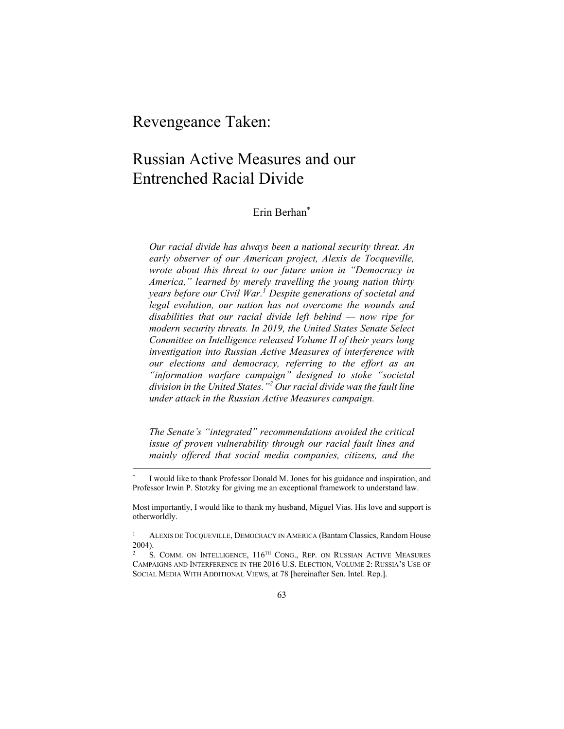# Revengeance Taken:

# Russian Active Measures and our Entrenched Racial Divide

Erin Berhan\*

*Our racial divide has always been a national security threat. An early observer of our American project, Alexis de Tocqueville, wrote about this threat to our future union in "Democracy in America," learned by merely travelling the young nation thirty years before our Civil War.<sup>1</sup> Despite generations of societal and legal evolution, our nation has not overcome the wounds and disabilities that our racial divide left behind — now ripe for modern security threats. In 2019, the United States Senate Select Committee on Intelligence released Volume II of their years long investigation into Russian Active Measures of interference with our elections and democracy, referring to the effort as an "information warfare campaign" designed to stoke "societal division in the United States."2 Our racial divide was the fault line under attack in the Russian Active Measures campaign.* 

*The Senate's "integrated" recommendations avoided the critical issue of proven vulnerability through our racial fault lines and mainly offered that social media companies, citizens, and the* 

I would like to thank Professor Donald M. Jones for his guidance and inspiration, and Professor Irwin P. Stotzky for giving me an exceptional framework to understand law.

Most importantly, I would like to thank my husband, Miguel Vias. His love and support is otherworldly.

<sup>1</sup> ALEXIS DE TOCQUEVILLE, DEMOCRACY IN AMERICA (Bantam Classics, Random House 2004).

S. COMM. ON INTELLIGENCE, 116<sup>TH</sup> CONG., REP. ON RUSSIAN ACTIVE MEASURES CAMPAIGNS AND INTERFERENCE IN THE 2016 U.S. ELECTION, VOLUME 2: RUSSIA'S USE OF SOCIAL MEDIA WITH ADDITIONAL VIEWS, at 78 [hereinafter Sen. Intel. Rep.].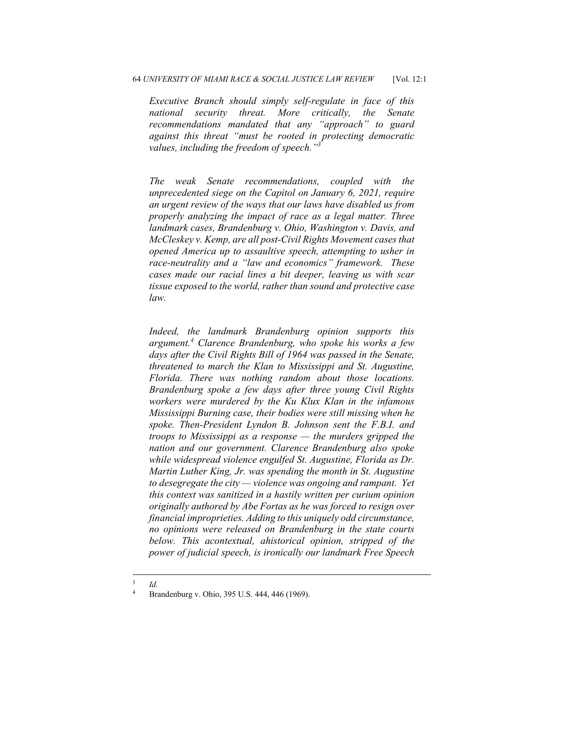*Executive Branch should simply self-regulate in face of this national security threat. More critically, the Senate recommendations mandated that any "approach" to guard against this threat "must be rooted in protecting democratic values, including the freedom of speech."3*

*The weak Senate recommendations, coupled with the unprecedented siege on the Capitol on January 6, 2021, require an urgent review of the ways that our laws have disabled us from properly analyzing the impact of race as a legal matter. Three landmark cases, Brandenburg v. Ohio, Washington v. Davis, and McCleskey v. Kemp, are all post-Civil Rights Movement cases that opened America up to assaultive speech, attempting to usher in race-neutrality and a "law and economics" framework. These cases made our racial lines a bit deeper, leaving us with scar tissue exposed to the world, rather than sound and protective case law.* 

*Indeed, the landmark Brandenburg opinion supports this argument.<sup>4</sup> Clarence Brandenburg, who spoke his works a few days after the Civil Rights Bill of 1964 was passed in the Senate, threatened to march the Klan to Mississippi and St. Augustine, Florida. There was nothing random about those locations. Brandenburg spoke a few days after three young Civil Rights workers were murdered by the Ku Klux Klan in the infamous Mississippi Burning case, their bodies were still missing when he spoke. Then-President Lyndon B. Johnson sent the F.B.I. and troops to Mississippi as a response — the murders gripped the nation and our government. Clarence Brandenburg also spoke while widespread violence engulfed St. Augustine, Florida as Dr. Martin Luther King, Jr. was spending the month in St. Augustine to desegregate the city — violence was ongoing and rampant. Yet this context was sanitized in a hastily written per curium opinion originally authored by Abe Fortas as he was forced to resign over financial improprieties. Adding to this uniquely odd circumstance, no opinions were released on Brandenburg in the state courts below. This acontextual, ahistorical opinion, stripped of the power of judicial speech, is ironically our landmark Free Speech* 

 $\frac{3}{4}$  *Id.* 

<sup>4</sup> Brandenburg v. Ohio, 395 U.S. 444, 446 (1969).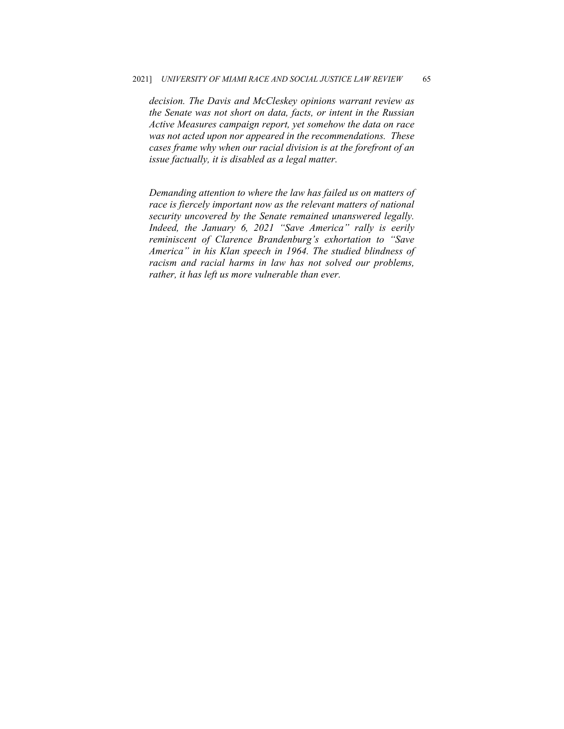*decision. The Davis and McCleskey opinions warrant review as the Senate was not short on data, facts, or intent in the Russian Active Measures campaign report, yet somehow the data on race was not acted upon nor appeared in the recommendations. These cases frame why when our racial division is at the forefront of an issue factually, it is disabled as a legal matter.* 

*Demanding attention to where the law has failed us on matters of race is fiercely important now as the relevant matters of national security uncovered by the Senate remained unanswered legally. Indeed, the January 6, 2021 "Save America" rally is eerily reminiscent of Clarence Brandenburg's exhortation to "Save America" in his Klan speech in 1964. The studied blindness of racism and racial harms in law has not solved our problems, rather, it has left us more vulnerable than ever.*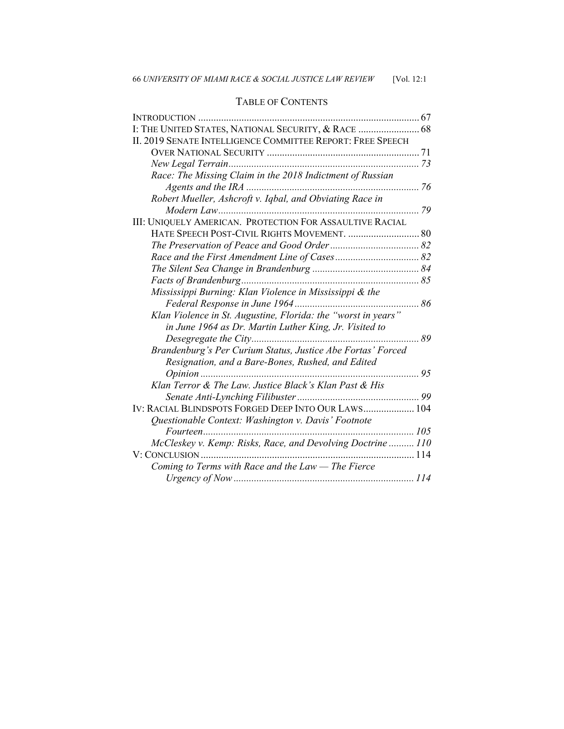## TABLE OF CONTENTS

| I: THE UNITED STATES, NATIONAL SECURITY, & RACE  68           |    |
|---------------------------------------------------------------|----|
| II. 2019 SENATE INTELLIGENCE COMMITTEE REPORT: FREE SPEECH    |    |
|                                                               |    |
|                                                               |    |
| Race: The Missing Claim in the 2018 Indictment of Russian     |    |
| $\sim$ 76                                                     |    |
| Robert Mueller, Ashcroft v. Iqbal, and Obviating Race in      |    |
|                                                               | 79 |
| III: UNIQUELY AMERICAN. PROTECTION FOR ASSAULTIVE RACIAL      |    |
| HATE SPEECH POST-CIVIL RIGHTS MOVEMENT.  80                   |    |
|                                                               |    |
|                                                               |    |
|                                                               |    |
|                                                               |    |
| Mississippi Burning: Klan Violence in Mississippi & the       |    |
| Federal Response in June 1964                                 |    |
| Klan Violence in St. Augustine, Florida: the "worst in years" |    |
| in June 1964 as Dr. Martin Luther King, Jr. Visited to        |    |
|                                                               | 89 |
| Brandenburg's Per Curium Status, Justice Abe Fortas' Forced   |    |
| Resignation, and a Bare-Bones, Rushed, and Edited             |    |
| Opinion                                                       | 95 |
| Klan Terror & The Law. Justice Black's Klan Past & His        |    |
|                                                               |    |
| IV: RACIAL BLINDSPOTS FORGED DEEP INTO OUR LAWS 104           |    |
| Questionable Context: Washington v. Davis' Footnote           |    |
|                                                               |    |
| McCleskey v. Kemp: Risks, Race, and Devolving Doctrine  110   |    |
| V: CONCLUSION<br>$\sim$ 114                                   |    |
| Coming to Terms with Race and the Law - The Fierce            |    |
|                                                               |    |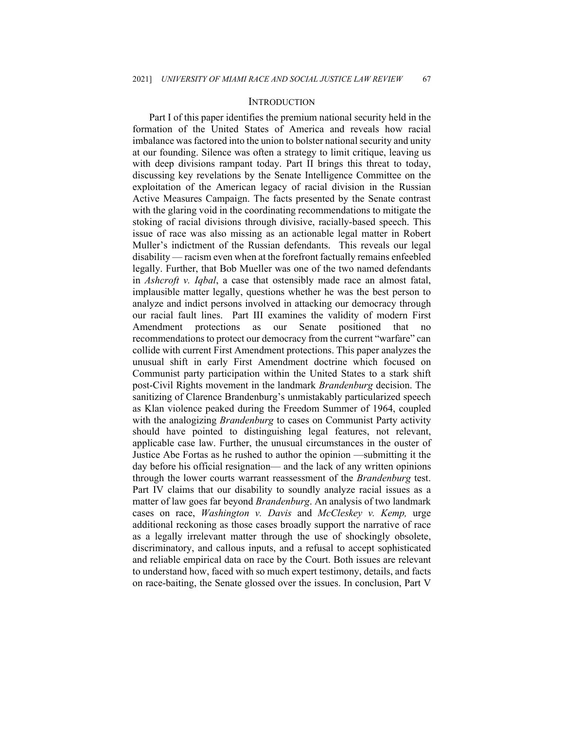#### **INTRODUCTION**

Part I of this paper identifies the premium national security held in the formation of the United States of America and reveals how racial imbalance was factored into the union to bolster national security and unity at our founding. Silence was often a strategy to limit critique, leaving us with deep divisions rampant today. Part II brings this threat to today, discussing key revelations by the Senate Intelligence Committee on the exploitation of the American legacy of racial division in the Russian Active Measures Campaign. The facts presented by the Senate contrast with the glaring void in the coordinating recommendations to mitigate the stoking of racial divisions through divisive, racially-based speech. This issue of race was also missing as an actionable legal matter in Robert Muller's indictment of the Russian defendants. This reveals our legal disability — racism even when at the forefront factually remains enfeebled legally. Further, that Bob Mueller was one of the two named defendants in *Ashcroft v. Iqbal*, a case that ostensibly made race an almost fatal, implausible matter legally, questions whether he was the best person to analyze and indict persons involved in attacking our democracy through our racial fault lines. Part III examines the validity of modern First Amendment protections as our Senate positioned that no recommendations to protect our democracy from the current "warfare" can collide with current First Amendment protections. This paper analyzes the unusual shift in early First Amendment doctrine which focused on Communist party participation within the United States to a stark shift post-Civil Rights movement in the landmark *Brandenburg* decision. The sanitizing of Clarence Brandenburg's unmistakably particularized speech as Klan violence peaked during the Freedom Summer of 1964, coupled with the analogizing *Brandenburg* to cases on Communist Party activity should have pointed to distinguishing legal features, not relevant, applicable case law. Further, the unusual circumstances in the ouster of Justice Abe Fortas as he rushed to author the opinion —submitting it the day before his official resignation— and the lack of any written opinions through the lower courts warrant reassessment of the *Brandenburg* test. Part IV claims that our disability to soundly analyze racial issues as a matter of law goes far beyond *Brandenburg*. An analysis of two landmark cases on race, *Washington v. Davis* and *McCleskey v. Kemp,* urge additional reckoning as those cases broadly support the narrative of race as a legally irrelevant matter through the use of shockingly obsolete, discriminatory, and callous inputs, and a refusal to accept sophisticated and reliable empirical data on race by the Court. Both issues are relevant to understand how, faced with so much expert testimony, details, and facts on race-baiting, the Senate glossed over the issues. In conclusion, Part V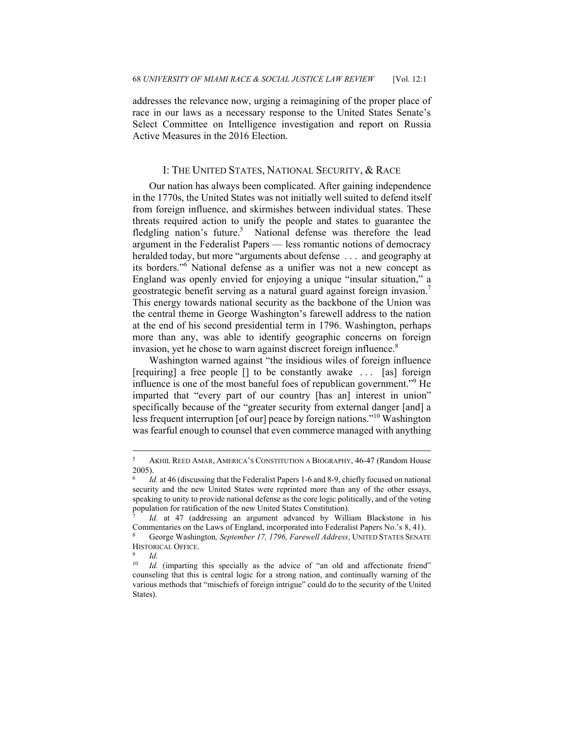addresses the relevance now, urging a reimagining of the proper place of race in our laws as a necessary response to the United States Senate's Select Committee on Intelligence investigation and report on Russia Active Measures in the 2016 Election.

#### I: THE UNITED STATES, NATIONAL SECURITY, & RACE

Our nation has always been complicated. After gaining independence in the 1770s, the United States was not initially well suited to defend itself from foreign influence, and skirmishes between individual states. These threats required action to unify the people and states to guarantee the fledgling nation's future.<sup>5</sup> National defense was therefore the lead argument in the Federalist Papers — less romantic notions of democracy heralded today, but more "arguments about defense . . . and geography at its borders."6 National defense as a unifier was not a new concept as England was openly envied for enjoying a unique "insular situation," a geostrategic benefit serving as a natural guard against foreign invasion.<sup>7</sup> This energy towards national security as the backbone of the Union was the central theme in George Washington's farewell address to the nation at the end of his second presidential term in 1796. Washington, perhaps more than any, was able to identify geographic concerns on foreign invasion, yet he chose to warn against discreet foreign influence.<sup>8</sup>

Washington warned against "the insidious wiles of foreign influence [requiring] a free people [] to be constantly awake ... [as] foreign influence is one of the most baneful foes of republican government."<sup>9</sup> He imparted that "every part of our country [has an] interest in union" specifically because of the "greater security from external danger [and] a less frequent interruption [of our] peace by foreign nations."10 Washington was fearful enough to counsel that even commerce managed with anything

<sup>5</sup> AKHIL REED AMAR, AMERICA'S CONSTITUTION A BIOGRAPHY, 46-47 (Random House 2005).

Id. at 46 (discussing that the Federalist Papers 1-6 and 8-9, chiefly focused on national security and the new United States were reprinted more than any of the other essays, speaking to unity to provide national defense as the core logic politically, and of the voting population for ratification of the new United States Constitution).

*Id.* at 47 (addressing an argument advanced by William Blackstone in his Commentaries on the Laws of England, incorporated into Federalist Papers No.'s 8, 41). 8 George Washington*, September 17, 1796, Farewell Address*, UNITED STATES SENATE

HISTORICAL OFFICE.<br><sup>9</sup> *Id.*<br><sup>10</sup> *Id.* (imparting)

Id. (imparting this specially as the advice of "an old and affectionate friend" counseling that this is central logic for a strong nation, and continually warning of the various methods that "mischiefs of foreign intrigue" could do to the security of the United States).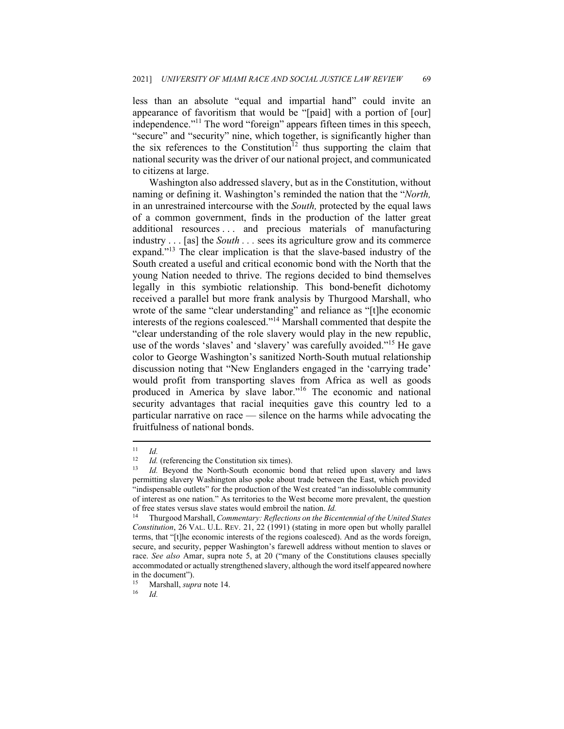less than an absolute "equal and impartial hand" could invite an appearance of favoritism that would be "[paid] with a portion of [our] independence."<sup>11</sup> The word "foreign" appears fifteen times in this speech, "secure" and "security" nine, which together, is significantly higher than the six references to the Constitution<sup>12</sup> thus supporting the claim that national security was the driver of our national project, and communicated to citizens at large.

Washington also addressed slavery, but as in the Constitution, without naming or defining it. Washington's reminded the nation that the "*North,*  in an unrestrained intercourse with the *South,* protected by the equal laws of a common government, finds in the production of the latter great additional resources . . . and precious materials of manufacturing industry . . . [as] the *South . . .* sees its agriculture grow and its commerce expand."13 The clear implication is that the slave-based industry of the South created a useful and critical economic bond with the North that the young Nation needed to thrive. The regions decided to bind themselves legally in this symbiotic relationship. This bond-benefit dichotomy received a parallel but more frank analysis by Thurgood Marshall, who wrote of the same "clear understanding" and reliance as "[t]he economic interests of the regions coalesced."14 Marshall commented that despite the "clear understanding of the role slavery would play in the new republic, use of the words 'slaves' and 'slavery' was carefully avoided."15 He gave color to George Washington's sanitized North-South mutual relationship discussion noting that "New Englanders engaged in the 'carrying trade' would profit from transporting slaves from Africa as well as goods produced in America by slave labor."16 The economic and national security advantages that racial inequities gave this country led to a particular narrative on race — silence on the harms while advocating the fruitfulness of national bonds.

 $\frac{11}{12}$  *Id.* 

<sup>1</sup>d. (referencing the Constitution six times).<br>13 *Id.* Beyond the North-South economic bond that relied upon slavery and laws permitting slavery Washington also spoke about trade between the East, which provided "indispensable outlets" for the production of the West created "an indissoluble community of interest as one nation." As territories to the West become more prevalent, the question of free states versus slave states would embroil the nation. *Id.*

<sup>14</sup> Thurgood Marshall, *Commentary: Reflections on the Bicentennial of the United States Constitution*, 26 VAL. U.L. REV. 21, 22 (1991) (stating in more open but wholly parallel terms, that "[t]he economic interests of the regions coalesced). And as the words foreign, secure, and security, pepper Washington's farewell address without mention to slaves or race. *See also* Amar, supra note 5, at 20 ("many of the Constitutions clauses specially accommodated or actually strengthened slavery, although the word itself appeared nowhere in the document").<br> $\frac{15}{15}$  Marshall sum

<sup>15</sup> Marshall, *supra* note 14. 16 *Id.*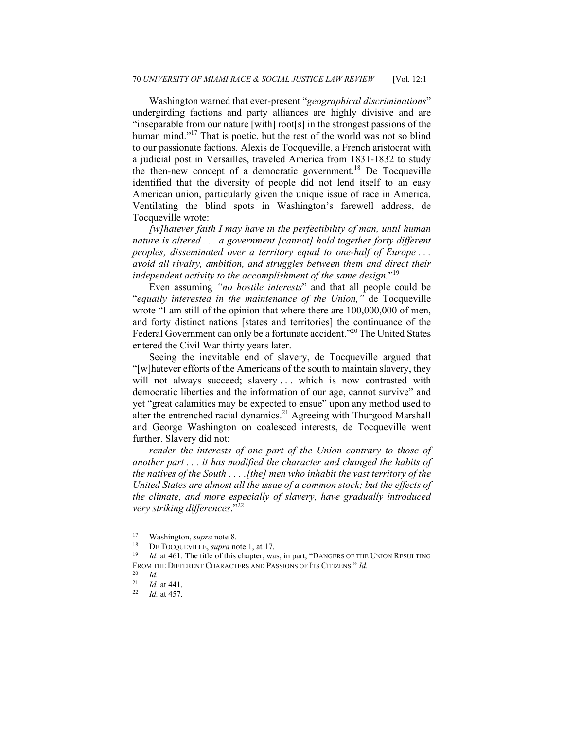Washington warned that ever-present "*geographical discriminations*" undergirding factions and party alliances are highly divisive and are "inseparable from our nature [with] root[s] in the strongest passions of the human mind."<sup>17</sup> That is poetic, but the rest of the world was not so blind to our passionate factions. Alexis de Tocqueville, a French aristocrat with a judicial post in Versailles, traveled America from 1831-1832 to study the then-new concept of a democratic government.<sup>18</sup> De Tocqueville identified that the diversity of people did not lend itself to an easy American union, particularly given the unique issue of race in America. Ventilating the blind spots in Washington's farewell address, de Tocqueville wrote:

*[w]hatever faith I may have in the perfectibility of man, until human nature is altered . . . a government [cannot] hold together forty different peoples, disseminated over a territory equal to one-half of Europe . . . avoid all rivalry, ambition, and struggles between them and direct their independent activity to the accomplishment of the same design.*"19

Even assuming *"no hostile interests*" and that all people could be "*equally interested in the maintenance of the Union,"* de Tocqueville wrote "I am still of the opinion that where there are 100,000,000 of men, and forty distinct nations [states and territories] the continuance of the Federal Government can only be a fortunate accident."<sup>20</sup> The United States entered the Civil War thirty years later.

Seeing the inevitable end of slavery, de Tocqueville argued that "[w]hatever efforts of the Americans of the south to maintain slavery, they will not always succeed; slavery ... which is now contrasted with democratic liberties and the information of our age, cannot survive" and yet "great calamities may be expected to ensue" upon any method used to alter the entrenched racial dynamics.<sup>21</sup> Agreeing with Thurgood Marshall and George Washington on coalesced interests, de Tocqueville went further. Slavery did not:

*render the interests of one part of the Union contrary to those of another part . . . it has modified the character and changed the habits of the natives of the South . . . .[the] men who inhabit the vast territory of the United States are almost all the issue of a common stock; but the effects of the climate, and more especially of slavery, have gradually introduced very striking differences*."<sup>22</sup>

<sup>17</sup> Washington, *supra* note 8.<br><sup>18</sup> DE TOCQUEVILLE, *supra* note 1, at 17.<br><sup>19</sup> Id. at 461. The title of this chapter, was, in part, "DANGERS OF THE UNION RESULTING FROM THE DIFFERENT CHARACTERS AND PASSIONS OF ITS CITIZENS." *Id. 10* 

 $\frac{20}{21}$  *Id.* 

<sup>21</sup> *Id.* at 441. 22 *Id.* at 457.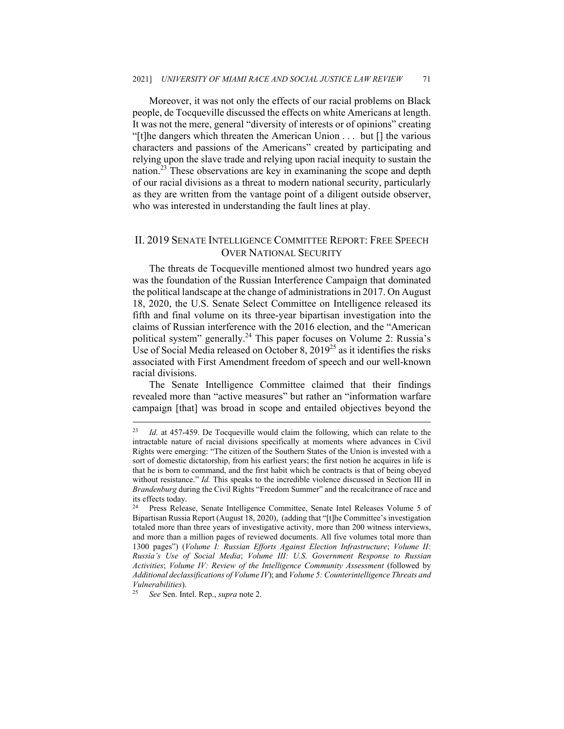Moreover, it was not only the effects of our racial problems on Black people, de Tocqueville discussed the effects on white Americans at length. It was not the mere, general "diversity of interests or of opinions" creating "[t]he dangers which threaten the American Union . . . but [] the various characters and passions of the Americans" created by participating and relying upon the slave trade and relying upon racial inequity to sustain the nation.<sup>23</sup> These observations are key in examinaning the scope and depth of our racial divisions as a threat to modern national security, particularly as they are written from the vantage point of a diligent outside observer, who was interested in understanding the fault lines at play.

## II. 2019 SENATE INTELLIGENCE COMMITTEE REPORT: FREE SPEECH OVER NATIONAL SECURITY

The threats de Tocqueville mentioned almost two hundred years ago was the foundation of the Russian Interference Campaign that dominated the political landscape at the change of administrations in 2017. On August 18, 2020, the U.S. Senate Select Committee on Intelligence released its fifth and final volume on its three-year bipartisan investigation into the claims of Russian interference with the 2016 election, and the "American political system" generally.<sup>24</sup> This paper focuses on Volume 2: Russia's Use of Social Media released on October 8, 2019<sup>25</sup> as it identifies the risks associated with First Amendment freedom of speech and our well-known racial divisions.

The Senate Intelligence Committee claimed that their findings revealed more than "active measures" but rather an "information warfare campaign [that] was broad in scope and entailed objectives beyond the

*Vulnerabilities*). 25 *See* Sen. Intel. Rep., *supra* note 2.

<sup>23</sup> *Id.* at 457-459. De Tocqueville would claim the following, which can relate to the intractable nature of racial divisions specifically at moments where advances in Civil Rights were emerging: "The citizen of the Southern States of the Union is invested with a sort of domestic dictatorship, from his earliest years; the first notion he acquires in life is that he is born to command, and the first habit which he contracts is that of being obeyed without resistance." *Id.* This speaks to the incredible violence discussed in Section III in *Brandenburg* during the Civil Rights "Freedom Summer" and the recalcitrance of race and its effects today.

<sup>24</sup> Press Release, Senate Intelligence Committee, Senate Intel Releases Volume 5 of Bipartisan Russia Report (August 18, 2020), (adding that "[t]he Committee's investigation totaled more than three years of investigative activity, more than 200 witness interviews, and more than a million pages of reviewed documents. All five volumes total more than 1300 pages") (*Volume I: Russian Efforts Against Election Infrastructure*; *Volume II: Russia's Use of Social Media*; *Volume III: U.S. Government Response to Russian Activities*; *Volume IV: Review of the Intelligence Community Assessment* (followed by *Additional declassifications of Volume IV*); and *Volume 5: Counterintelligence Threats and*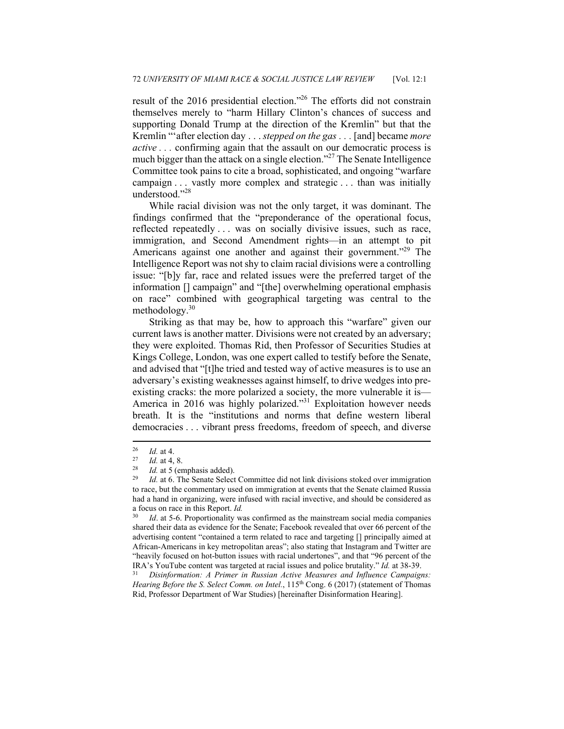result of the 2016 presidential election."26 The efforts did not constrain themselves merely to "harm Hillary Clinton's chances of success and supporting Donald Trump at the direction of the Kremlin" but that the Kremlin "'after election day . . . *stepped on the gas . . .* [and] became *more active . . .* confirming again that the assault on our democratic process is much bigger than the attack on a single election."<sup>27</sup> The Senate Intelligence Committee took pains to cite a broad, sophisticated, and ongoing "warfare campaign . . . vastly more complex and strategic . . . than was initially understood."28

While racial division was not the only target, it was dominant. The findings confirmed that the "preponderance of the operational focus, reflected repeatedly . . . was on socially divisive issues, such as race, immigration, and Second Amendment rights—in an attempt to pit Americans against one another and against their government."<sup>29</sup> The Intelligence Report was not shy to claim racial divisions were a controlling issue: "[b]y far, race and related issues were the preferred target of the information [] campaign" and "[the] overwhelming operational emphasis on race" combined with geographical targeting was central to the methodology.<sup>30</sup>

Striking as that may be, how to approach this "warfare" given our current laws is another matter. Divisions were not created by an adversary; they were exploited. Thomas Rid, then Professor of Securities Studies at Kings College, London, was one expert called to testify before the Senate, and advised that "[t]he tried and tested way of active measures is to use an adversary's existing weaknesses against himself, to drive wedges into preexisting cracks: the more polarized a society, the more vulnerable it is— America in 2016 was highly polarized."<sup>31</sup> Exploitation however needs breath. It is the "institutions and norms that define western liberal democracies . . . vibrant press freedoms, freedom of speech, and diverse

<sup>26</sup> *Id.* at 4. 27 *Id.* at 4, 8. 28 *Id.* at 5 (emphasis added). 29 *Id.* at 6. The Senate Select Committee did not link divisions stoked over immigration to race, but the commentary used on immigration at events that the Senate claimed Russia had a hand in organizing, were infused with racial invective, and should be considered as a focus on race in this Report. *Id.*

Id. at 5-6. Proportionality was confirmed as the mainstream social media companies shared their data as evidence for the Senate; Facebook revealed that over 66 percent of the advertising content "contained a term related to race and targeting [] principally aimed at African-Americans in key metropolitan areas"; also stating that Instagram and Twitter are "heavily focused on hot-button issues with racial undertones", and that "96 percent of the IRA's YouTube content was targeted at racial issues and police brutality." *Id.* at 38-39. 31 *Disinformation: A Primer in Russian Active Measures and Influence Campaigns:* 

*Hearing Before the S. Select Comm. on Intel.*, 115<sup>th</sup> Cong. 6 (2017) (statement of Thomas Rid, Professor Department of War Studies) [hereinafter Disinformation Hearing].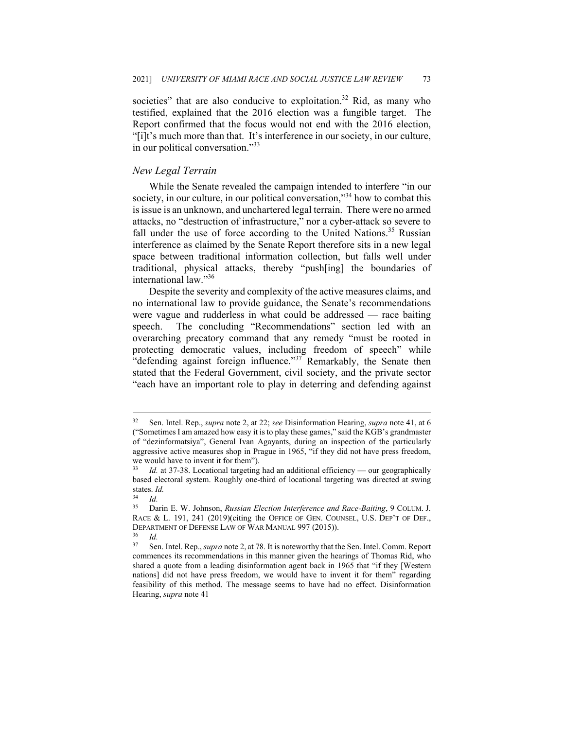societies" that are also conducive to exploitation. $32$  Rid, as many who testified, explained that the 2016 election was a fungible target. The Report confirmed that the focus would not end with the 2016 election, "[i]t's much more than that. It's interference in our society, in our culture, in our political conversation."33

## *New Legal Terrain*

While the Senate revealed the campaign intended to interfere "in our society, in our culture, in our political conversation,"<sup>34</sup> how to combat this is issue is an unknown, and unchartered legal terrain. There were no armed attacks, no "destruction of infrastructure," nor a cyber-attack so severe to fall under the use of force according to the United Nations.<sup>35</sup> Russian interference as claimed by the Senate Report therefore sits in a new legal space between traditional information collection, but falls well under traditional, physical attacks, thereby "push[ing] the boundaries of international law."<sup>36</sup>

Despite the severity and complexity of the active measures claims, and no international law to provide guidance, the Senate's recommendations were vague and rudderless in what could be addressed — race baiting speech. The concluding "Recommendations" section led with an overarching precatory command that any remedy "must be rooted in protecting democratic values, including freedom of speech" while "defending against foreign influence."<sup>37</sup> Remarkably, the Senate then stated that the Federal Government, civil society, and the private sector "each have an important role to play in deterring and defending against

<sup>32</sup> Sen. Intel. Rep., *supra* note 2, at 22; *see* Disinformation Hearing, *supra* note 41, at 6 ("Sometimes I am amazed how easy it is to play these games," said the KGB's grandmaster of "dezinformatsiya", General Ivan Agayants, during an inspection of the particularly aggressive active measures shop in Prague in 1965, "if they did not have press freedom, we would have to invent it for them").

Id. at 37-38. Locational targeting had an additional efficiency — our geographically based electoral system. Roughly one-third of locational targeting was directed at swing states. *Id.*

 $\frac{34}{35}$  *Id.* 

<sup>35</sup> Darin E. W. Johnson, *Russian Election Interference and Race-Baiting*, 9 COLUM. J. RACE & L. 191, 241 (2019)(citing the OFFICE OF GEN. COUNSEL, U.S. DEP'T OF DEF., DEPARTMENT OF DEFENSE LAW OF WAR MANUAL 997 (2015)).<br><sup>36</sup> *Id.*<br><sup>37</sup> Sep Intel Ben, sunga pote 2, et 78. It is noteworthy that the

<sup>37</sup> Sen. Intel. Rep., *supra* note 2, at 78. It is noteworthy that the Sen. Intel. Comm. Report commences its recommendations in this manner given the hearings of Thomas Rid, who shared a quote from a leading disinformation agent back in 1965 that "if they [Western nations] did not have press freedom, we would have to invent it for them" regarding feasibility of this method. The message seems to have had no effect. Disinformation Hearing, *supra* note 41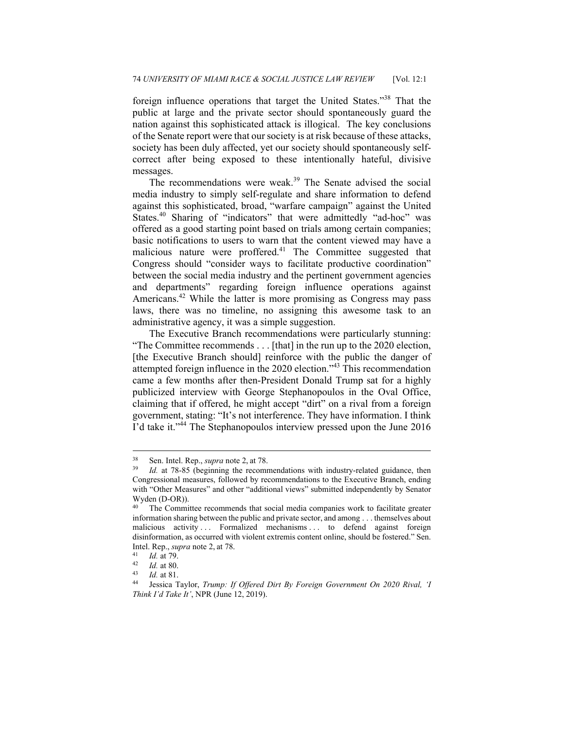foreign influence operations that target the United States."38 That the public at large and the private sector should spontaneously guard the nation against this sophisticated attack is illogical. The key conclusions of the Senate report were that our society is at risk because of these attacks, society has been duly affected, yet our society should spontaneously selfcorrect after being exposed to these intentionally hateful, divisive messages.

The recommendations were weak.<sup>39</sup> The Senate advised the social media industry to simply self-regulate and share information to defend against this sophisticated, broad, "warfare campaign" against the United States.<sup>40</sup> Sharing of "indicators" that were admittedly "ad-hoc" was offered as a good starting point based on trials among certain companies; basic notifications to users to warn that the content viewed may have a malicious nature were proffered.41 The Committee suggested that Congress should "consider ways to facilitate productive coordination" between the social media industry and the pertinent government agencies and departments" regarding foreign influence operations against Americans.<sup>42</sup> While the latter is more promising as Congress may pass laws, there was no timeline, no assigning this awesome task to an administrative agency, it was a simple suggestion.

The Executive Branch recommendations were particularly stunning: "The Committee recommends . . . [that] in the run up to the 2020 election, [the Executive Branch should] reinforce with the public the danger of attempted foreign influence in the 2020 election."43 This recommendation came a few months after then-President Donald Trump sat for a highly publicized interview with George Stephanopoulos in the Oval Office, claiming that if offered, he might accept "dirt" on a rival from a foreign government, stating: "It's not interference. They have information. I think I'd take it."44 The Stephanopoulos interview pressed upon the June 2016

<sup>38</sup> Sen. Intel. Rep., *supra* note 2, at 78. 39 *Id.* at 78-85 (beginning the recommendations with industry-related guidance, then Congressional measures, followed by recommendations to the Executive Branch, ending with "Other Measures" and other "additional views" submitted independently by Senator Wyden (D-OR)).

The Committee recommends that social media companies work to facilitate greater information sharing between the public and private sector, and among . . . themselves about malicious activity ... Formalized mechanisms ... to defend against foreign disinformation, as occurred with violent extremis content online, should be fostered." Sen. Intel. Rep., *supra* note 2, at 78.<br>
<sup>41</sup> *Id.* at 79.<br>
<sup>42</sup> *Id.* at 80.<br>
<sup>43</sup> *Id.* at 81.<br>
<sup>44</sup> Jessica Taylor, *Trump: If Offered Dirt By Foreign Government On 2020 Rival, 'I* 

*Think I'd Take It'*, NPR (June 12, 2019).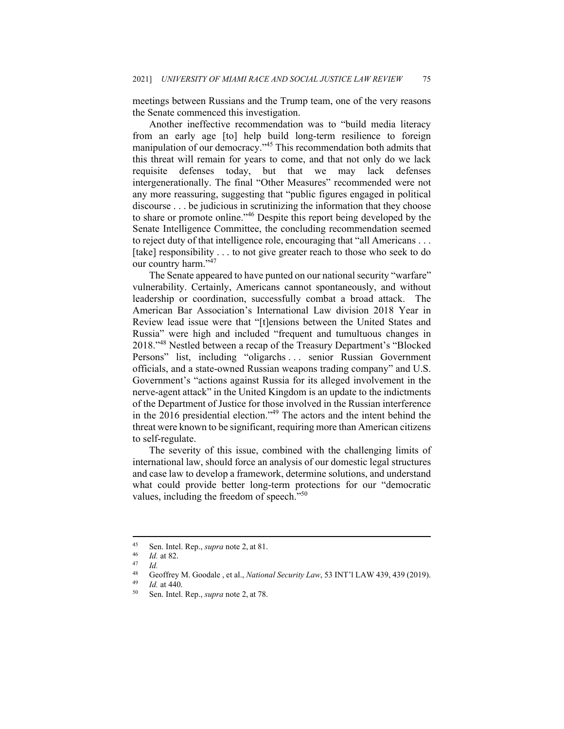meetings between Russians and the Trump team, one of the very reasons the Senate commenced this investigation.

Another ineffective recommendation was to "build media literacy from an early age [to] help build long-term resilience to foreign manipulation of our democracy."45 This recommendation both admits that this threat will remain for years to come, and that not only do we lack requisite defenses today, but that we may lack defenses intergenerationally. The final "Other Measures" recommended were not any more reassuring, suggesting that "public figures engaged in political discourse . . . be judicious in scrutinizing the information that they choose to share or promote online."46 Despite this report being developed by the Senate Intelligence Committee, the concluding recommendation seemed to reject duty of that intelligence role, encouraging that "all Americans . . . [take] responsibility . . . to not give greater reach to those who seek to do our country harm."<sup>47</sup>

The Senate appeared to have punted on our national security "warfare" vulnerability. Certainly, Americans cannot spontaneously, and without leadership or coordination, successfully combat a broad attack. The American Bar Association's International Law division 2018 Year in Review lead issue were that "[t]ensions between the United States and Russia" were high and included "frequent and tumultuous changes in 2018."48 Nestled between a recap of the Treasury Department's "Blocked Persons" list, including "oligarchs . . . senior Russian Government officials, and a state-owned Russian weapons trading company" and U.S. Government's "actions against Russia for its alleged involvement in the nerve-agent attack" in the United Kingdom is an update to the indictments of the Department of Justice for those involved in the Russian interference in the 2016 presidential election."49 The actors and the intent behind the threat were known to be significant, requiring more than American citizens to self-regulate.

The severity of this issue, combined with the challenging limits of international law, should force an analysis of our domestic legal structures and case law to develop a framework, determine solutions, and understand what could provide better long-term protections for our "democratic values, including the freedom of speech."<sup>50</sup>

<sup>45</sup> Sen. Intel. Rep., *supra* note 2, at 81.<br>46 *Id.* at 82.<br>48 Geoffrey M. Goodale, et al. *Nation* 

<sup>48</sup> Geoffrey M. Goodale , et al., *National Security Law*, 53 INT'l LAW 439, 439 (2019). 49 *Id.* at 440. 50 Sen. Intel. Rep., *supra* note 2, at 78.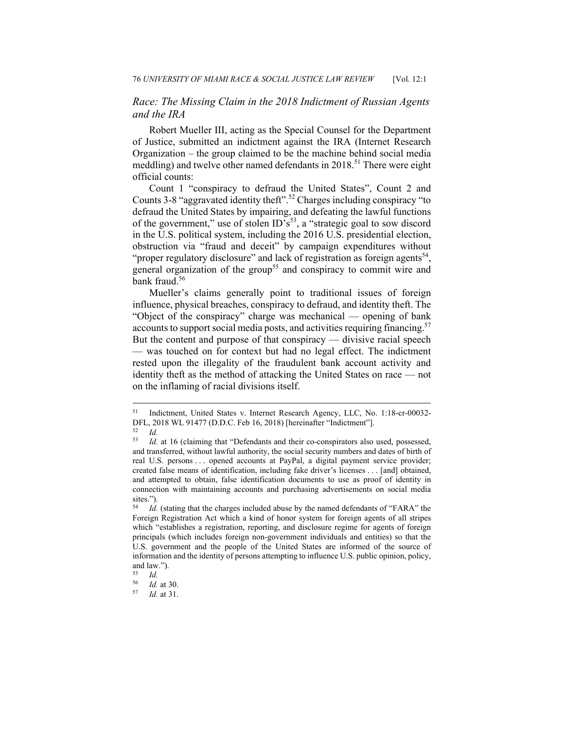# *Race: The Missing Claim in the 2018 Indictment of Russian Agents and the IRA*

Robert Mueller III, acting as the Special Counsel for the Department of Justice, submitted an indictment against the IRA (Internet Research Organization – the group claimed to be the machine behind social media meddling) and twelve other named defendants in 2018.<sup>51</sup> There were eight official counts:

Count 1 "conspiracy to defraud the United States", Count 2 and Counts 3-8 "aggravated identity theft".52 Charges including conspiracy "to defraud the United States by impairing, and defeating the lawful functions of the government," use of stolen  $ID^s s^{53}$ , a "strategic goal to sow discord in the U.S. political system, including the 2016 U.S. presidential election, obstruction via "fraud and deceit" by campaign expenditures without "proper regulatory disclosure" and lack of registration as foreign agents<sup>54</sup>, general organization of the group<sup>55</sup> and conspiracy to commit wire and bank fraud.<sup>56</sup>

Mueller's claims generally point to traditional issues of foreign influence, physical breaches, conspiracy to defraud, and identity theft. The "Object of the conspiracy" charge was mechanical — opening of bank accounts to support social media posts, and activities requiring financing.<sup>57</sup> But the content and purpose of that conspiracy — divisive racial speech — was touched on for context but had no legal effect. The indictment rested upon the illegality of the fraudulent bank account activity and identity theft as the method of attacking the United States on race — not on the inflaming of racial divisions itself.

<sup>51</sup> Indictment, United States v. Internet Research Agency, LLC, No. 1:18-cr-00032- DFL, 2018 WL 91477 (D.D.C. Feb 16, 2018) [hereinafter "Indictment"].<br>
<sup>52</sup> *Id.*<br>
<sup>53</sup> *Id.* at 16 (claiming that "Defendants and their co-conspirators also

Id. at 16 (claiming that "Defendants and their co-conspirators also used, possessed, and transferred, without lawful authority, the social security numbers and dates of birth of real U.S. persons . . . opened accounts at PayPal, a digital payment service provider; created false means of identification, including fake driver's licenses . . . [and] obtained, and attempted to obtain, false identification documents to use as proof of identity in connection with maintaining accounts and purchasing advertisements on social media sites.").

<sup>54</sup> *Id.* (stating that the charges included abuse by the named defendants of "FARA" the Foreign Registration Act which a kind of honor system for foreign agents of all stripes which "establishes a registration, reporting, and disclosure regime for agents of foreign principals (which includes foreign non-government individuals and entities) so that the U.S. government and the people of the United States are informed of the source of information and the identity of persons attempting to influence U.S. public opinion, policy, and law.").<br> $\frac{55}{1}$ 

 $\begin{array}{cc} 55 & Id. \\ 56 & Id. \end{array}$ 

<sup>56</sup> *Id.* at 30. 57 *Id.* at 31.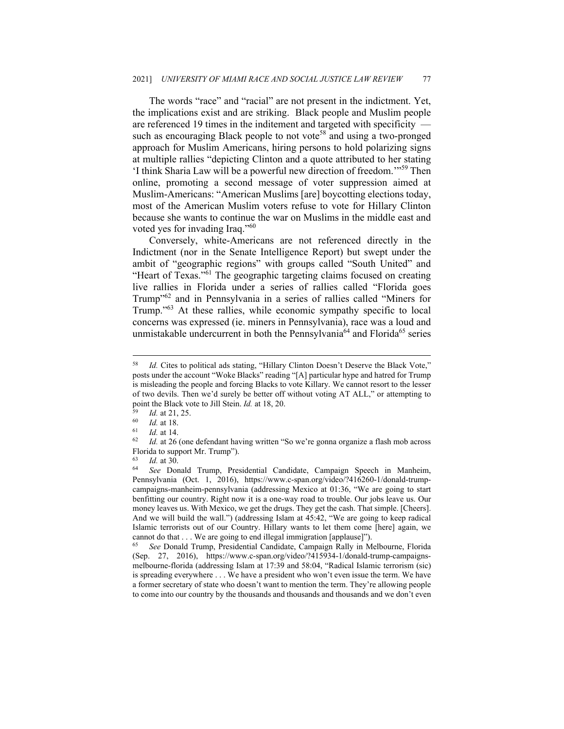The words "race" and "racial" are not present in the indictment. Yet, the implications exist and are striking. Black people and Muslim people are referenced 19 times in the inditement and targeted with specificity such as encouraging Black people to not vote<sup>58</sup> and using a two-pronged approach for Muslim Americans, hiring persons to hold polarizing signs at multiple rallies "depicting Clinton and a quote attributed to her stating 'I think Sharia Law will be a powerful new direction of freedom.'"59 Then online, promoting a second message of voter suppression aimed at Muslim-Americans: "American Muslims [are] boycotting elections today, most of the American Muslim voters refuse to vote for Hillary Clinton because she wants to continue the war on Muslims in the middle east and voted yes for invading Iraq."<sup>60</sup>

Conversely, white-Americans are not referenced directly in the Indictment (nor in the Senate Intelligence Report) but swept under the ambit of "geographic regions" with groups called "South United" and "Heart of Texas."<sup>61</sup> The geographic targeting claims focused on creating live rallies in Florida under a series of rallies called "Florida goes Trump"62 and in Pennsylvania in a series of rallies called "Miners for Trump."63 At these rallies, while economic sympathy specific to local concerns was expressed (ie. miners in Pennsylvania), race was a loud and unmistakable undercurrent in both the Pennsylvania<sup>64</sup> and Florida<sup>65</sup> series

(Sep. 27, 2016), https://www.c-span.org/video/?415934-1/donald-trump-campaignsmelbourne-florida (addressing Islam at 17:39 and 58:04, "Radical Islamic terrorism (sic) is spreading everywhere . . . We have a president who won't even issue the term. We have a former secretary of state who doesn't want to mention the term. They're allowing people to come into our country by the thousands and thousands and thousands and we don't even

<sup>58</sup> *Id.* Cites to political ads stating, "Hillary Clinton Doesn't Deserve the Black Vote," posts under the account "Woke Blacks" reading "[A] particular hype and hatred for Trump is misleading the people and forcing Blacks to vote Killary. We cannot resort to the lesser of two devils. Then we'd surely be better off without voting AT ALL," or attempting to point the Black vote to Jill Stein.  $Id$ . at 18, 20.

point *Id.* at 21, 25.<br><sup>60</sup> *Id.* at 18.<br><sup>61</sup> *Id.* at 14. 62 (one defendant having written "So we're gonna organize a flash mob across Florida to support Mr. Trump").

<sup>63</sup> *Id.* at 30. 64 *See* Donald Trump, Presidential Candidate, Campaign Speech in Manheim, Pennsylvania (Oct. 1, 2016), https://www.c-span.org/video/?416260-1/donald-trumpcampaigns-manheim-pennsylvania (addressing Mexico at 01:36, "We are going to start benfitting our country. Right now it is a one-way road to trouble. Our jobs leave us. Our money leaves us. With Mexico, we get the drugs. They get the cash. That simple. [Cheers]. And we will build the wall.") (addressing Islam at 45:42, "We are going to keep radical Islamic terrorists out of our Country. Hillary wants to let them come [here] again, we cannot do that . . . We are going to end illegal immigration [applause]"). 65 *See* Donald Trump, Presidential Candidate, Campaign Rally in Melbourne, Florida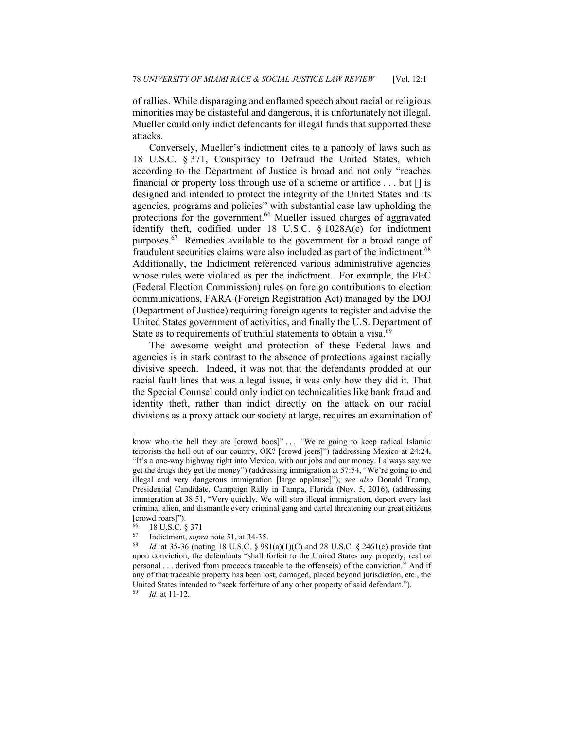of rallies. While disparaging and enflamed speech about racial or religious minorities may be distasteful and dangerous, it is unfortunately not illegal. Mueller could only indict defendants for illegal funds that supported these attacks.

Conversely, Mueller's indictment cites to a panoply of laws such as 18 U.S.C. § 371, Conspiracy to Defraud the United States, which according to the Department of Justice is broad and not only "reaches financial or property loss through use of a scheme or artifice . . . but [] is designed and intended to protect the integrity of the United States and its agencies, programs and policies" with substantial case law upholding the protections for the government.<sup>66</sup> Mueller issued charges of aggravated identify theft, codified under 18 U.S.C. § 1028A(c) for indictment purposes.<sup>67</sup> Remedies available to the government for a broad range of fraudulent securities claims were also included as part of the indictment.<sup>68</sup> Additionally, the Indictment referenced various administrative agencies whose rules were violated as per the indictment. For example, the FEC (Federal Election Commission) rules on foreign contributions to election communications, FARA (Foreign Registration Act) managed by the DOJ (Department of Justice) requiring foreign agents to register and advise the United States government of activities, and finally the U.S. Department of State as to requirements of truthful statements to obtain a visa.<sup>69</sup>

The awesome weight and protection of these Federal laws and agencies is in stark contrast to the absence of protections against racially divisive speech. Indeed, it was not that the defendants prodded at our racial fault lines that was a legal issue, it was only how they did it. That the Special Counsel could only indict on technicalities like bank fraud and identity theft, rather than indict directly on the attack on our racial divisions as a proxy attack our society at large, requires an examination of

know who the hell they are [crowd boos]" . . . *"*We're going to keep radical Islamic terrorists the hell out of our country, OK? [crowd jeers]") (addressing Mexico at 24:24, "It's a one-way highway right into Mexico, with our jobs and our money. I always say we get the drugs they get the money") (addressing immigration at 57:54, "We're going to end illegal and very dangerous immigration [large applause]"); *see also* Donald Trump, Presidential Candidate, Campaign Rally in Tampa, Florida (Nov. 5, 2016), (addressing immigration at 38:51, "Very quickly. We will stop illegal immigration, deport every last criminal alien, and dismantle every criminal gang and cartel threatening our great citizens [crowd roars]").

 $\frac{66}{67}$  18 U.S.C. § 371

<sup>67</sup> Indictment, *supra* note 51, at 34-35.<br><sup>68</sup> *Id.* at 35-36 (noting 18 U.S.C. § 981(a)(1)(C) and 28 U.S.C. § 2461(c) provide that upon conviction, the defendants "shall forfeit to the United States any property, real or personal . . . derived from proceeds traceable to the offense(s) of the conviction." And if any of that traceable property has been lost, damaged, placed beyond jurisdiction, etc., the United States intended to "seek forfeiture of any other property of said defendant."). <sup>69</sup> *Id.* at 11-12.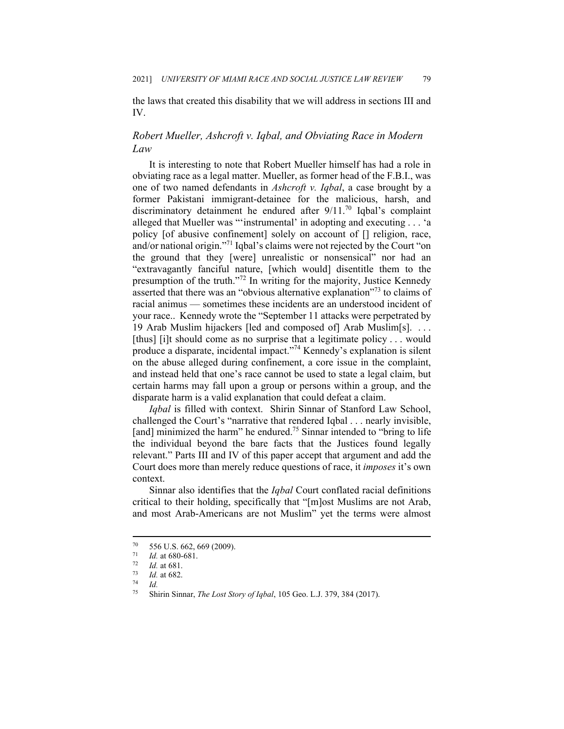the laws that created this disability that we will address in sections III and IV.

# *Robert Mueller, Ashcroft v. Iqbal, and Obviating Race in Modern Law*

It is interesting to note that Robert Mueller himself has had a role in obviating race as a legal matter. Mueller, as former head of the F.B.I., was one of two named defendants in *Ashcroft v. Iqbal*, a case brought by a former Pakistani immigrant-detainee for the malicious, harsh, and discriminatory detainment he endured after  $9/11.^{70}$  Iqbal's complaint alleged that Mueller was "'instrumental' in adopting and executing . . . 'a policy [of abusive confinement] solely on account of [] religion, race, and/or national origin."<sup>71</sup> Iqbal's claims were not rejected by the Court "on the ground that they [were] unrealistic or nonsensical" nor had an "extravagantly fanciful nature, [which would] disentitle them to the presumption of the truth."72 In writing for the majority, Justice Kennedy asserted that there was an "obvious alternative explanation"<sup>73</sup> to claims of racial animus — sometimes these incidents are an understood incident of your race.. Kennedy wrote the "September 11 attacks were perpetrated by 19 Arab Muslim hijackers [led and composed of] Arab Muslim[s]. . . . [thus] [i]t should come as no surprise that a legitimate policy . . . would produce a disparate, incidental impact."74 Kennedy's explanation is silent on the abuse alleged during confinement, a core issue in the complaint, and instead held that one's race cannot be used to state a legal claim, but certain harms may fall upon a group or persons within a group, and the disparate harm is a valid explanation that could defeat a claim.

*Iqbal* is filled with context. Shirin Sinnar of Stanford Law School, challenged the Court's "narrative that rendered Iqbal . . . nearly invisible, [and] minimized the harm" he endured.<sup>75</sup> Sinnar intended to "bring to life" the individual beyond the bare facts that the Justices found legally relevant." Parts III and IV of this paper accept that argument and add the Court does more than merely reduce questions of race, it *imposes* it's own context.

Sinnar also identifies that the *Iqbal* Court conflated racial definitions critical to their holding, specifically that "[m]ost Muslims are not Arab, and most Arab-Americans are not Muslim" yet the terms were almost

 $^{70}$  556 U.S. 662, 669 (2009).<br>  $^{71}$  *Let* 680, 681

<sup>71</sup> *Id.* at 680-681. 72 *Id.* at 681. 73 *Id.* at 682. 74 *Id.*

<sup>75</sup> Shirin Sinnar, *The Lost Story of Iqbal*, 105 Geo. L.J. 379, 384 (2017).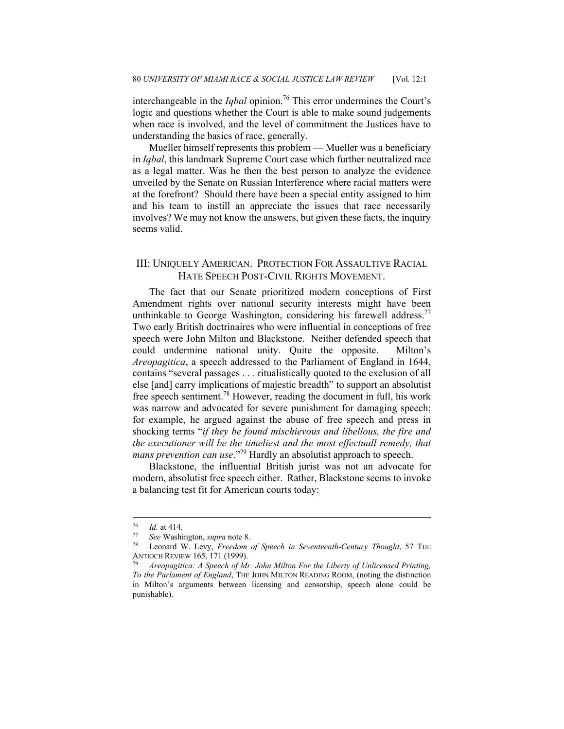interchangeable in the *Iqbal* opinion.<sup>76</sup> This error undermines the Court's logic and questions whether the Court is able to make sound judgements when race is involved, and the level of commitment the Justices have to understanding the basics of race, generally.

Mueller himself represents this problem — Mueller was a beneficiary in *Iqbal*, this landmark Supreme Court case which further neutralized race as a legal matter. Was he then the best person to analyze the evidence unveiled by the Senate on Russian Interference where racial matters were at the forefront? Should there have been a special entity assigned to him and his team to instill an appreciate the issues that race necessarily involves? We may not know the answers, but given these facts, the inquiry seems valid.

# III: UNIQUELY AMERICAN. PROTECTION FOR ASSAULTIVE RACIAL HATE SPEECH POST-CIVIL RIGHTS MOVEMENT.

The fact that our Senate prioritized modern conceptions of First Amendment rights over national security interests might have been unthinkable to George Washington, considering his farewell address.<sup>77</sup> Two early British doctrinaires who were influential in conceptions of free speech were John Milton and Blackstone. Neither defended speech that could undermine national unity. Quite the opposite. Milton's *Areopagitica*, a speech addressed to the Parliament of England in 1644, contains "several passages . . . ritualistically quoted to the exclusion of all else [and] carry implications of majestic breadth" to support an absolutist free speech sentiment.78 However, reading the document in full, his work was narrow and advocated for severe punishment for damaging speech; for example, he argued against the abuse of free speech and press in shocking terms "*if they be found mischievous and libellous, the fire and the executioner will be the timeliest and the most effectuall remedy, that mans prevention can use*."<sup>79</sup> Hardly an absolutist approach to speech.

Blackstone, the influential British jurist was not an advocate for modern, absolutist free speech either. Rather, Blackstone seems to invoke a balancing test fit for American courts today:

<sup>76</sup> *Id.* at 414. 77 *See* Washington, *supra* note 8. 78 Leonard W. Levy, *Freedom of Speech in Seventeenth-Century Thought*, 57 THE ANTIOCH REVIEW 165, 171 (1999).<br><sup>79</sup> Areopagitica: A Speech of Mr. John Milton For the Liberty of Unlicensed Printing,

*To the Parlament of England*, THE JOHN MILTON READING ROOM, (noting the distinction in Milton's arguments between licensing and censorship, speech alone could be punishable).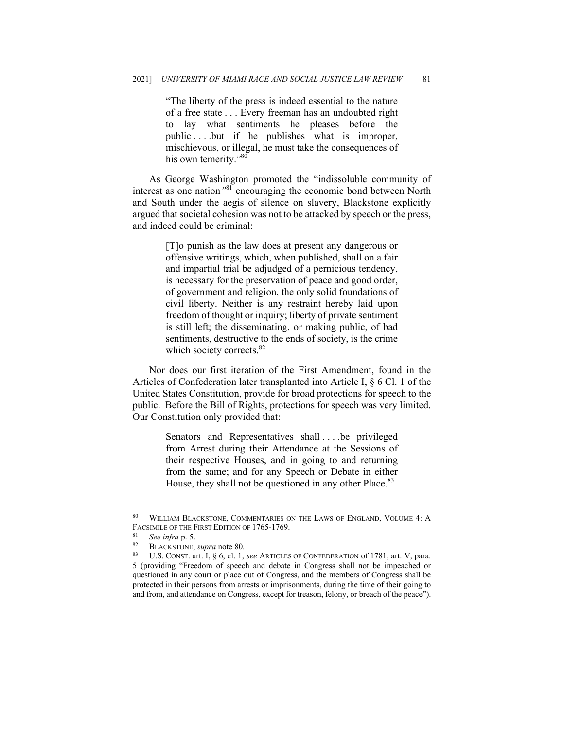"The liberty of the press is indeed essential to the nature of a free state . . . Every freeman has an undoubted right to lay what sentiments he pleases before the public . . . .but if he publishes what is improper, mischievous, or illegal, he must take the consequences of his own temerity."<sup>80</sup>

As George Washington promoted the "indissoluble community of interest as one nation*"*81 encouraging the economic bond between North and South under the aegis of silence on slavery, Blackstone explicitly argued that societal cohesion was not to be attacked by speech or the press, and indeed could be criminal:

> [T]o punish as the law does at present any dangerous or offensive writings, which, when published, shall on a fair and impartial trial be adjudged of a pernicious tendency, is necessary for the preservation of peace and good order, of government and religion, the only solid foundations of civil liberty. Neither is any restraint hereby laid upon freedom of thought or inquiry; liberty of private sentiment is still left; the disseminating, or making public, of bad sentiments, destructive to the ends of society, is the crime which society corrects. 82

Nor does our first iteration of the First Amendment, found in the Articles of Confederation later transplanted into Article I, § 6 Cl. 1 of the United States Constitution, provide for broad protections for speech to the public. Before the Bill of Rights, protections for speech was very limited. Our Constitution only provided that:

> Senators and Representatives shall . . . .be privileged from Arrest during their Attendance at the Sessions of their respective Houses, and in going to and returning from the same; and for any Speech or Debate in either House, they shall not be questioned in any other Place.<sup>83</sup>

<sup>80</sup> WILLIAM BLACKSTONE, COMMENTARIES ON THE LAWS OF ENGLAND, VOLUME 4: A FACSIMILE OF THE FIRST EDITION OF 1765-1769.<br>
<sup>81</sup> See infra p. 5.<br>
<sup>82</sup> BLACKSTONE, *supra* note 80.<br>
<sup>83</sup> U.S. CONST. art. I, § 6, cl. 1; *see* ARTICLES OF CONFEDERATION of 1781, art. V, para.

<sup>5 (</sup>providing "Freedom of speech and debate in Congress shall not be impeached or questioned in any court or place out of Congress, and the members of Congress shall be protected in their persons from arrests or imprisonments, during the time of their going to and from, and attendance on Congress, except for treason, felony, or breach of the peace").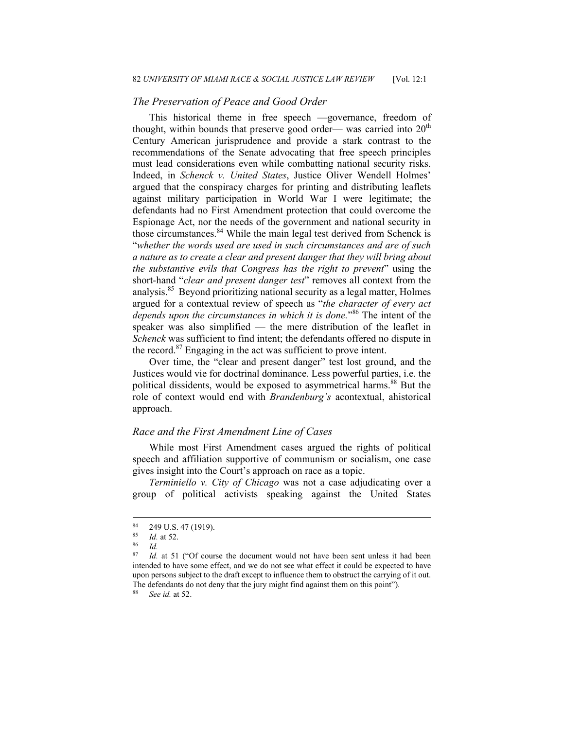#### *The Preservation of Peace and Good Order*

This historical theme in free speech —governance, freedom of thought, within bounds that preserve good order— was carried into  $20<sup>th</sup>$ Century American jurisprudence and provide a stark contrast to the recommendations of the Senate advocating that free speech principles must lead considerations even while combatting national security risks. Indeed, in *Schenck v. United States*, Justice Oliver Wendell Holmes' argued that the conspiracy charges for printing and distributing leaflets against military participation in World War I were legitimate; the defendants had no First Amendment protection that could overcome the Espionage Act, nor the needs of the government and national security in those circumstances.<sup>84</sup> While the main legal test derived from Schenck is "*whether the words used are used in such circumstances and are of such a nature as to create a clear and present danger that they will bring about the substantive evils that Congress has the right to prevent*" using the short-hand "*clear and present danger test*" removes all context from the analysis.<sup>85</sup> Beyond prioritizing national security as a legal matter, Holmes argued for a contextual review of speech as "*the character of every act*  depends upon the circumstances in which it is done."<sup>86</sup> The intent of the speaker was also simplified — the mere distribution of the leaflet in *Schenck* was sufficient to find intent; the defendants offered no dispute in the record. $87$  Engaging in the act was sufficient to prove intent.

Over time, the "clear and present danger" test lost ground, and the Justices would vie for doctrinal dominance. Less powerful parties, i.e. the political dissidents, would be exposed to asymmetrical harms.<sup>88</sup> But the role of context would end with *Brandenburg's* acontextual, ahistorical approach.

#### *Race and the First Amendment Line of Cases*

While most First Amendment cases argued the rights of political speech and affiliation supportive of communism or socialism, one case gives insight into the Court's approach on race as a topic.

*Terminiello v. City of Chicago* was not a case adjudicating over a group of political activists speaking against the United States

 $\frac{84}{85}$  249 U.S. 47 (1919).

<sup>85</sup> *Id.* at 52. 86 *Id.*

Id. at 51 ("Of course the document would not have been sent unless it had been intended to have some effect, and we do not see what effect it could be expected to have upon persons subject to the draft except to influence them to obstruct the carrying of it out. The defendants do not deny that the jury might find against them on this point"). 88 *See id.* at 52.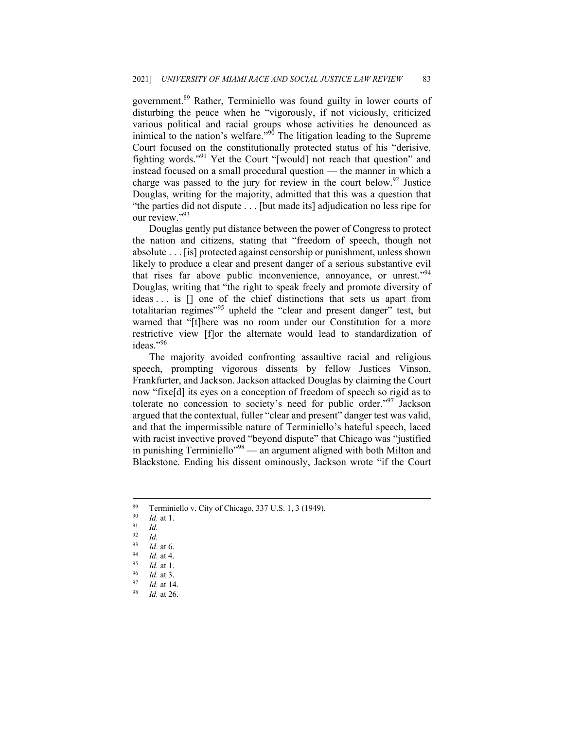government.89 Rather, Terminiello was found guilty in lower courts of disturbing the peace when he "vigorously, if not viciously, criticized various political and racial groups whose activities he denounced as inimical to the nation's welfare."<sup>90</sup> The litigation leading to the Supreme Court focused on the constitutionally protected status of his "derisive, fighting words."91 Yet the Court "[would] not reach that question" and instead focused on a small procedural question — the manner in which a charge was passed to the jury for review in the court below.<sup>92</sup> Justice Douglas, writing for the majority, admitted that this was a question that "the parties did not dispute . . . [but made its] adjudication no less ripe for our review."<sup>93</sup>

Douglas gently put distance between the power of Congress to protect the nation and citizens, stating that "freedom of speech, though not absolute . . . [is] protected against censorship or punishment, unless shown likely to produce a clear and present danger of a serious substantive evil that rises far above public inconvenience, annoyance, or unrest."<sup>94</sup> Douglas, writing that "the right to speak freely and promote diversity of ideas . . . is [] one of the chief distinctions that sets us apart from totalitarian regimes"<sup>95</sup> upheld the "clear and present danger" test, but warned that "[t]here was no room under our Constitution for a more restrictive view [f]or the alternate would lead to standardization of ideas."<sup>96</sup>

The majority avoided confronting assaultive racial and religious speech, prompting vigorous dissents by fellow Justices Vinson, Frankfurter, and Jackson. Jackson attacked Douglas by claiming the Court now "fixe[d] its eyes on a conception of freedom of speech so rigid as to tolerate no concession to society's need for public order."<sup>97</sup> Jackson argued that the contextual, fuller "clear and present" danger test was valid, and that the impermissible nature of Terminiello's hateful speech, laced with racist invective proved "beyond dispute" that Chicago was "justified in punishing Terminiello<sup>"98</sup> — an argument aligned with both Milton and Blackstone. Ending his dissent ominously, Jackson wrote "if the Court

<sup>&</sup>lt;sup>89</sup> Terminiello v. City of Chicago, 337 U.S. 1, 3 (1949).

<sup>90</sup> *Id.* at 1. 91 *Id.*

 $\frac{92}{93}$  *Id.* 

<sup>93</sup> *Id.* at 6. 94 *Id.* at 4. 95 *Id.* at 1. 96 *Id.* at 3. 97 *Id.* at 14. 98 *Id.* at 26.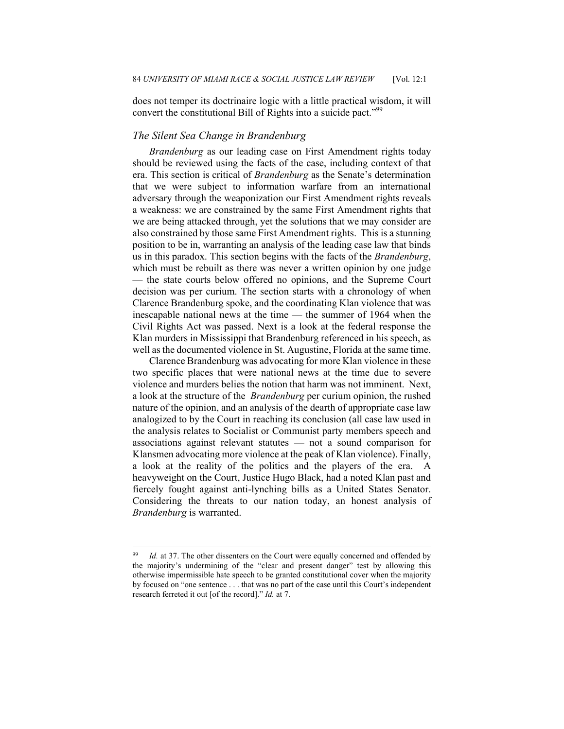does not temper its doctrinaire logic with a little practical wisdom, it will convert the constitutional Bill of Rights into a suicide pact."<sup>99</sup>

#### *The Silent Sea Change in Brandenburg*

*Brandenburg* as our leading case on First Amendment rights today should be reviewed using the facts of the case, including context of that era. This section is critical of *Brandenburg* as the Senate's determination that we were subject to information warfare from an international adversary through the weaponization our First Amendment rights reveals a weakness: we are constrained by the same First Amendment rights that we are being attacked through, yet the solutions that we may consider are also constrained by those same First Amendment rights. This is a stunning position to be in, warranting an analysis of the leading case law that binds us in this paradox. This section begins with the facts of the *Brandenburg*, which must be rebuilt as there was never a written opinion by one judge — the state courts below offered no opinions, and the Supreme Court decision was per curium. The section starts with a chronology of when Clarence Brandenburg spoke, and the coordinating Klan violence that was inescapable national news at the time — the summer of 1964 when the Civil Rights Act was passed. Next is a look at the federal response the Klan murders in Mississippi that Brandenburg referenced in his speech, as well as the documented violence in St. Augustine, Florida at the same time.

Clarence Brandenburg was advocating for more Klan violence in these two specific places that were national news at the time due to severe violence and murders belies the notion that harm was not imminent. Next, a look at the structure of the *Brandenburg* per curium opinion, the rushed nature of the opinion, and an analysis of the dearth of appropriate case law analogized to by the Court in reaching its conclusion (all case law used in the analysis relates to Socialist or Communist party members speech and associations against relevant statutes — not a sound comparison for Klansmen advocating more violence at the peak of Klan violence). Finally, a look at the reality of the politics and the players of the era. A heavyweight on the Court, Justice Hugo Black, had a noted Klan past and fiercely fought against anti-lynching bills as a United States Senator. Considering the threats to our nation today, an honest analysis of *Brandenburg* is warranted.

Id. at 37. The other dissenters on the Court were equally concerned and offended by the majority's undermining of the "clear and present danger" test by allowing this otherwise impermissible hate speech to be granted constitutional cover when the majority by focused on "one sentence . . . that was no part of the case until this Court's independent research ferreted it out [of the record]." *Id.* at 7.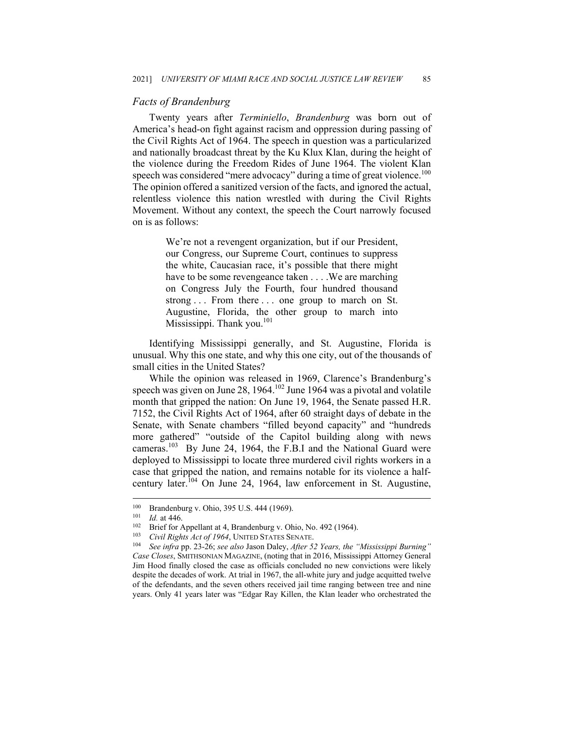#### *Facts of Brandenburg*

Twenty years after *Terminiello*, *Brandenburg* was born out of America's head-on fight against racism and oppression during passing of the Civil Rights Act of 1964. The speech in question was a particularized and nationally broadcast threat by the Ku Klux Klan, during the height of the violence during the Freedom Rides of June 1964. The violent Klan speech was considered "mere advocacy" during a time of great violence. $100$ The opinion offered a sanitized version of the facts, and ignored the actual, relentless violence this nation wrestled with during the Civil Rights Movement. Without any context, the speech the Court narrowly focused on is as follows:

> We're not a revengent organization, but if our President, our Congress, our Supreme Court, continues to suppress the white, Caucasian race, it's possible that there might have to be some revengeance taken . . . . We are marching on Congress July the Fourth, four hundred thousand strong ... From there ... one group to march on St. Augustine, Florida, the other group to march into Mississippi. Thank you.<sup>101</sup>

Identifying Mississippi generally, and St. Augustine, Florida is unusual. Why this one state, and why this one city, out of the thousands of small cities in the United States?

While the opinion was released in 1969, Clarence's Brandenburg's speech was given on June  $28$ , 1964.<sup>102</sup> June 1964 was a pivotal and volatile month that gripped the nation: On June 19, 1964, the Senate passed H.R. 7152, the Civil Rights Act of 1964, after 60 straight days of debate in the Senate, with Senate chambers "filled beyond capacity" and "hundreds more gathered" "outside of the Capitol building along with news cameras.<sup>103</sup> By June 24, 1964, the F.B.I and the National Guard were deployed to Mississippi to locate three murdered civil rights workers in a case that gripped the nation, and remains notable for its violence a halfcentury later.<sup>104</sup> On June 24, 1964, law enforcement in St. Augustine,

<sup>&</sup>lt;sup>100</sup> Brandenburg v. Ohio, 395 U.S. 444 (1969).<br>
<sup>101</sup> *Id.* at 446.<br>
<sup>102</sup> Brief for Appellant at 4, Brandenburg v. Ohio, No. 492 (1964).<br>
<sup>103</sup> *Civil Rights Act of 1964*, UNITED STATES SENATE.<br>
<sup>104</sup> *See infra pp.* 23 *Case Closes*, SMITHSONIAN MAGAZINE, (noting that in 2016, Mississippi Attorney General Jim Hood finally closed the case as officials concluded no new convictions were likely despite the decades of work. At trial in 1967, the all-white jury and judge acquitted twelve of the defendants, and the seven others received jail time ranging between tree and nine years. Only 41 years later was "Edgar Ray Killen, the Klan leader who orchestrated the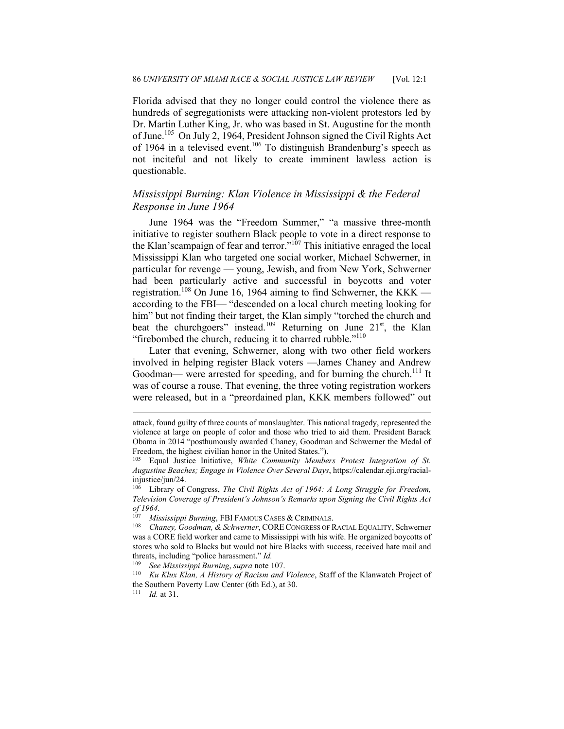Florida advised that they no longer could control the violence there as hundreds of segregationists were attacking non-violent protestors led by Dr. Martin Luther King, Jr. who was based in St. Augustine for the month of June.<sup>105</sup> On July 2, 1964, President Johnson signed the Civil Rights Act of 1964 in a televised event.<sup>106</sup> To distinguish Brandenburg's speech as not inciteful and not likely to create imminent lawless action is questionable.

# *Mississippi Burning: Klan Violence in Mississippi & the Federal Response in June 1964*

June 1964 was the "Freedom Summer," "a massive three-month initiative to register southern Black people to vote in a direct response to the Klan'scampaign of fear and terror." $107$  This initiative enraged the local Mississippi Klan who targeted one social worker, Michael Schwerner, in particular for revenge — young, Jewish, and from New York, Schwerner had been particularly active and successful in boycotts and voter registration.<sup>108</sup> On June 16, 1964 aiming to find Schwerner, the KKK according to the FBI— "descended on a local church meeting looking for him" but not finding their target, the Klan simply "torched the church and beat the churchgoers" instead.<sup>109</sup> Returning on June  $21<sup>st</sup>$ , the Klan "firebombed the church, reducing it to charred rubble."<sup>110</sup>

Later that evening, Schwerner, along with two other field workers involved in helping register Black voters —James Chaney and Andrew Goodman— were arrested for speeding, and for burning the church.<sup>111</sup> It was of course a rouse. That evening, the three voting registration workers were released, but in a "preordained plan, KKK members followed" out

111 *Id.* at 31.

attack, found guilty of three counts of manslaughter. This national tragedy, represented the violence at large on people of color and those who tried to aid them. President Barack Obama in 2014 "posthumously awarded Chaney, Goodman and Schwerner the Medal of Freedom, the highest civilian honor in the United States.").

<sup>105</sup> Equal Justice Initiative, *White Community Members Protest Integration of St. Augustine Beaches; Engage in Violence Over Several Days*, https://calendar.eji.org/racialinjustice/jun/24.

<sup>106</sup> Library of Congress, *The Civil Rights Act of 1964: A Long Struggle for Freedom, Television Coverage of President's Johnson's Remarks upon Signing the Civil Rights Act of 1964*. 107 *Mississippi Burning*, FBI FAMOUS CASES & CRIMINALS. 108 *Chaney, Goodman, & Schwerner*, CORECONGRESS OF RACIAL EQUALITY, Schwerner

was a CORE field worker and came to Mississippi with his wife. He organized boycotts of stores who sold to Blacks but would not hire Blacks with success, received hate mail and threats, including "police harassment." *Id.*

<sup>&</sup>lt;sup>109</sup> See Mississippi Burning, supra note 107.<br><sup>110</sup> Ku Klux Klan, A History of Racism and Violence, Staff of the Klanwatch Project of the Southern Poverty Law Center (6th Ed.), at 30.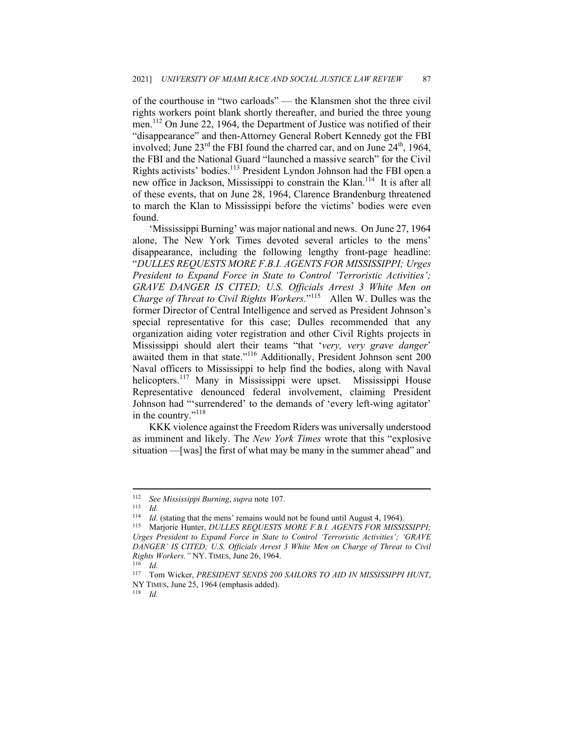of the courthouse in "two carloads" — the Klansmen shot the three civil rights workers point blank shortly thereafter, and buried the three young men.<sup>112</sup> On June 22, 1964, the Department of Justice was notified of their "disappearance" and then-Attorney General Robert Kennedy got the FBI involved; June  $23<sup>rd</sup>$  the FBI found the charred car, and on June  $24<sup>th</sup>$ , 1964, the FBI and the National Guard "launched a massive search" for the Civil Rights activists' bodies.113 President Lyndon Johnson had the FBI open a new office in Jackson, Mississippi to constrain the Klan.<sup>114</sup> It is after all of these events, that on June 28, 1964, Clarence Brandenburg threatened to march the Klan to Mississippi before the victims' bodies were even found.

'Mississippi Burning' was major national and news. On June 27, 1964 alone, The New York Times devoted several articles to the mens' disappearance, including the following lengthy front-page headline: "*DULLES REQUESTS MORE F.B.I. AGENTS FOR MISSISSIPPI; Urges President to Expand Force in State to Control 'Terroristic Activities'; GRAVE DANGER IS CITED; U.S. Officials Arrest 3 White Men on Charge of Threat to Civil Rights Workers.*"115 Allen W. Dulles was the former Director of Central Intelligence and served as President Johnson's special representative for this case; Dulles recommended that any organization aiding voter registration and other Civil Rights projects in Mississippi should alert their teams "that '*very, very grave danger*' awaited them in that state."116 Additionally, President Johnson sent 200 Naval officers to Mississippi to help find the bodies, along with Naval helicopters.<sup>117</sup> Many in Mississippi were upset. Mississippi House Representative denounced federal involvement, claiming President Johnson had "'surrendered' to the demands of 'every left-wing agitator' in the country."<sup>118</sup>

KKK violence against the Freedom Riders was universally understood as imminent and likely. The *New York Times* wrote that this "explosive situation —[was] the first of what may be many in the summer ahead" and

<sup>112</sup> *See Mississippi Burning*, *supra* note 107. 113 *Id.*

<sup>&</sup>lt;sup>114</sup> *Id.* (stating that the mens' remains would not be found until August 4, 1964).<br><sup>115</sup> Marjorie Hunter, *DULLES REQUESTS MORE F.B.I. AGENTS FOR MISSISSIPPI;* 

*Urges President to Expand Force in State to Control 'Terroristic Activities'; 'GRAVE DANGER' IS CITED; U.S. Officials Arrest 3 White Men on Charge of Threat to Civil Rights Workers."* NY. TIMES, June 26, 1964.<br><sup>116</sup> *Id.* Tom Wicker. *PRESIDENT SENDS* 200

<sup>117</sup> Tom Wicker, *PRESIDENT SENDS 200 SAILORS TO AID IN MISSISSIPPI HUNT*, NY TIMES, June 25, 1964 (emphasis added). 118 *Id.*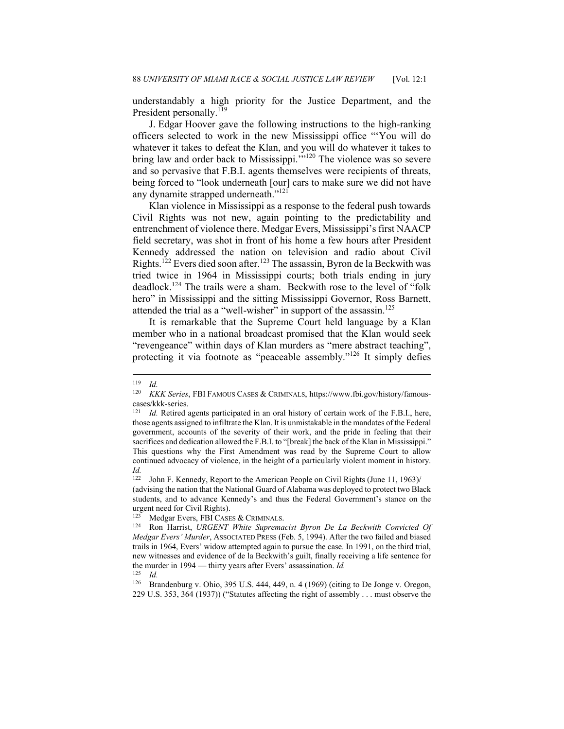understandably a high priority for the Justice Department, and the President personally.<sup>119</sup>

J. Edgar Hoover gave the following instructions to the high-ranking officers selected to work in the new Mississippi office "'You will do whatever it takes to defeat the Klan, and you will do whatever it takes to bring law and order back to Mississippi."<sup>120</sup> The violence was so severe and so pervasive that F.B.I. agents themselves were recipients of threats, being forced to "look underneath [our] cars to make sure we did not have any dynamite strapped underneath."<sup>121</sup>

Klan violence in Mississippi as a response to the federal push towards Civil Rights was not new, again pointing to the predictability and entrenchment of violence there. Medgar Evers, Mississippi's first NAACP field secretary, was shot in front of his home a few hours after President Kennedy addressed the nation on television and radio about Civil Rights.<sup>122</sup> Evers died soon after.<sup>123</sup> The assassin, Byron de la Beckwith was tried twice in 1964 in Mississippi courts; both trials ending in jury deadlock.124 The trails were a sham. Beckwith rose to the level of "folk hero" in Mississippi and the sitting Mississippi Governor, Ross Barnett, attended the trial as a "well-wisher" in support of the assassin.<sup>125</sup>

It is remarkable that the Supreme Court held language by a Klan member who in a national broadcast promised that the Klan would seek "revengeance" within days of Klan murders as "mere abstract teaching", protecting it via footnote as "peaceable assembly."126 It simply defies

 $\frac{119}{120}$  *Id.* 

KKK Series, FBI FAMOUS CASES & CRIMINALS, https://www.fbi.gov/history/famouscases/kkk-series.

 $121$  *Id.* Retired agents participated in an oral history of certain work of the F.B.I., here, those agents assigned to infiltrate the Klan. It is unmistakable in the mandates of the Federal government, accounts of the severity of their work, and the pride in feeling that their sacrifices and dedication allowed the F.B.I. to "[break] the back of the Klan in Mississippi." This questions why the First Amendment was read by the Supreme Court to allow continued advocacy of violence, in the height of a particularly violent moment in history. *Id.*

John F. Kennedy, Report to the American People on Civil Rights (June 11, 1963)/ (advising the nation that the National Guard of Alabama was deployed to protect two Black students, and to advance Kennedy's and thus the Federal Government's stance on the urgent need for Civil Rights).<br> $\frac{123}{123}$  Modern Evers, EPLCAST

<sup>123</sup> Medgar Evers, FBI CASES & CRIMINALS.<br><sup>124</sup> Ron Harrist, *URGENT White Supremacist Byron De La Beckwith Convicted Of Medgar Evers' Murder*, ASSOCIATED PRESS (Feb. 5, 1994). After the two failed and biased trails in 1964, Evers' widow attempted again to pursue the case. In 1991, on the third trial, new witnesses and evidence of de la Beckwith's guilt, finally receiving a life sentence for the murder in 1994 — thirty years after Evers' assassination. *Id.*

 $\frac{125}{126}$  *Id.* 126 Brandenburg v. Ohio, 395 U.S. 444, 449, n. 4 (1969) (citing to De Jonge v. Oregon, 229 U.S. 353, 364 (1937)) ("Statutes affecting the right of assembly . . . must observe the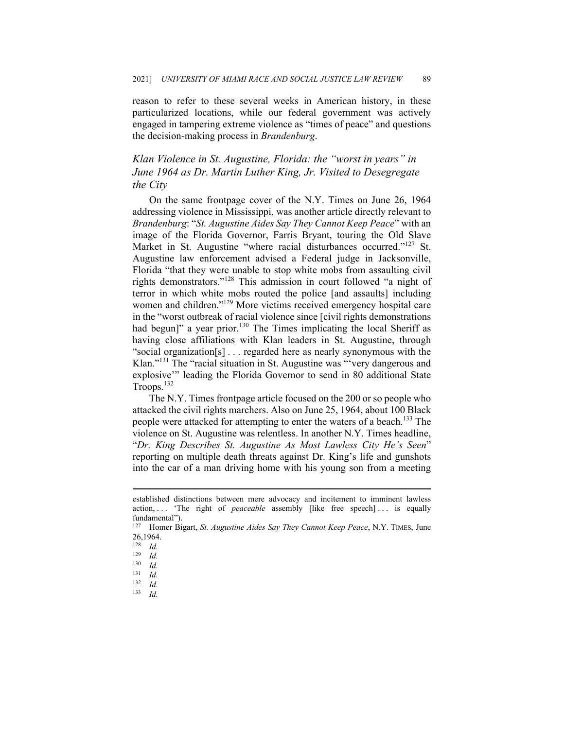reason to refer to these several weeks in American history, in these particularized locations, while our federal government was actively engaged in tampering extreme violence as "times of peace" and questions the decision-making process in *Brandenburg*.

# *Klan Violence in St. Augustine, Florida: the "worst in years" in June 1964 as Dr. Martin Luther King, Jr. Visited to Desegregate the City*

On the same frontpage cover of the N.Y. Times on June 26, 1964 addressing violence in Mississippi, was another article directly relevant to *Brandenburg*: "*St. Augustine Aides Say They Cannot Keep Peace*" with an image of the Florida Governor, Farris Bryant, touring the Old Slave Market in St. Augustine "where racial disturbances occurred."<sup>127</sup> St. Augustine law enforcement advised a Federal judge in Jacksonville, Florida "that they were unable to stop white mobs from assaulting civil rights demonstrators."128 This admission in court followed "a night of terror in which white mobs routed the police [and assaults] including women and children."<sup>129</sup> More victims received emergency hospital care in the "worst outbreak of racial violence since [civil rights demonstrations had begun]" a year prior.<sup>130</sup> The Times implicating the local Sheriff as having close affiliations with Klan leaders in St. Augustine, through "social organization[s] . . . regarded here as nearly synonymous with the Klan."131 The "racial situation in St. Augustine was "'very dangerous and explosive'" leading the Florida Governor to send in 80 additional State Troops.132

The N.Y. Times frontpage article focused on the 200 or so people who attacked the civil rights marchers. Also on June 25, 1964, about 100 Black people were attacked for attempting to enter the waters of a beach.<sup>133</sup> The violence on St. Augustine was relentless. In another N.Y. Times headline, "*Dr. King Describes St. Augustine As Most Lawless City He's Seen*" reporting on multiple death threats against Dr. King's life and gunshots into the car of a man driving home with his young son from a meeting

established distinctions between mere advocacy and incitement to imminent lawless action, . . . 'The right of *peaceable* assembly [like free speech] . . . is equally fundamental").

<sup>127</sup> Homer Bigart, *St. Augustine Aides Say They Cannot Keep Peace*, N.Y. TIMES, June  $26,1964.$ 

<sup>128</sup> *Id.*

 $\frac{129}{130}$  *Id.* 

 $\frac{130}{131}$  *Id.* 

<sup>131</sup> *Id.*

 $\frac{132}{133}$  *Id. Id.*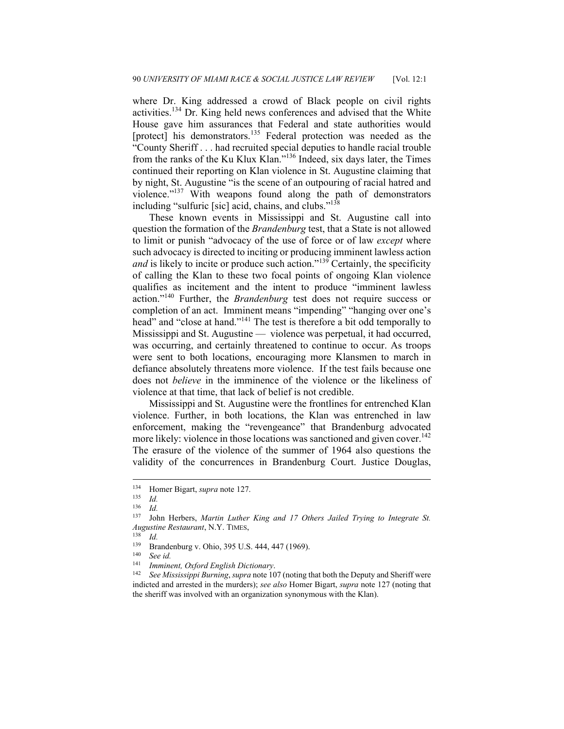where Dr. King addressed a crowd of Black people on civil rights activities.134 Dr. King held news conferences and advised that the White House gave him assurances that Federal and state authorities would [protect] his demonstrators.<sup>135</sup> Federal protection was needed as the "County Sheriff . . . had recruited special deputies to handle racial trouble from the ranks of the Ku Klux Klan."136 Indeed, six days later, the Times continued their reporting on Klan violence in St. Augustine claiming that by night, St. Augustine "is the scene of an outpouring of racial hatred and violence."137 With weapons found along the path of demonstrators including "sulfuric [sic] acid, chains, and clubs."<sup>138</sup>

These known events in Mississippi and St. Augustine call into question the formation of the *Brandenburg* test, that a State is not allowed to limit or punish "advocacy of the use of force or of law *except* where such advocacy is directed to inciting or producing imminent lawless action *and* is likely to incite or produce such action."<sup>139</sup> Certainly, the specificity of calling the Klan to these two focal points of ongoing Klan violence qualifies as incitement and the intent to produce "imminent lawless action."140 Further, the *Brandenburg* test does not require success or completion of an act. Imminent means "impending" "hanging over one's head" and "close at hand."<sup>141</sup> The test is therefore a bit odd temporally to Mississippi and St. Augustine — violence was perpetual, it had occurred, was occurring, and certainly threatened to continue to occur. As troops were sent to both locations, encouraging more Klansmen to march in defiance absolutely threatens more violence. If the test fails because one does not *believe* in the imminence of the violence or the likeliness of violence at that time, that lack of belief is not credible.

Mississippi and St. Augustine were the frontlines for entrenched Klan violence. Further, in both locations, the Klan was entrenched in law enforcement, making the "revengeance" that Brandenburg advocated more likely: violence in those locations was sanctioned and given cover.<sup>142</sup> The erasure of the violence of the summer of 1964 also questions the validity of the concurrences in Brandenburg Court. Justice Douglas,

<sup>134</sup> Homer Bigart, *supra* note 127. 135 *Id.*

 $\frac{136}{137}$  *Id.* 

<sup>137</sup> John Herbers, *Martin Luther King and 17 Others Jailed Trying to Integrate St. Augustine Restaurant*, N.Y. TIMES, 138 *Id.*

<sup>139</sup> Brandenburg v. Ohio, 395 U.S. 444, 447 (1969). 140 *See id.*

<sup>141</sup> *Imminent, Oxford English Dictionary*. 142 *See Mississippi Burning*, *supra* note 107 (noting that both the Deputy and Sheriff were indicted and arrested in the murders); *see also* Homer Bigart, *supra* note 127 (noting that the sheriff was involved with an organization synonymous with the Klan).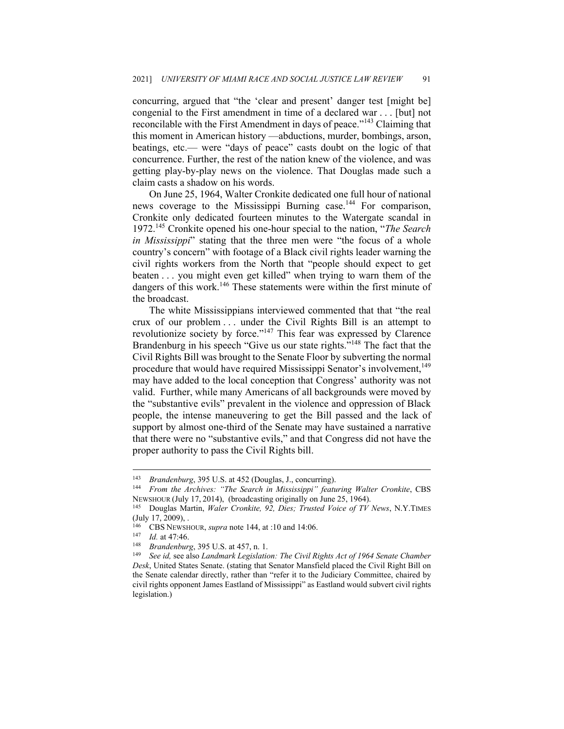concurring, argued that "the 'clear and present' danger test [might be] congenial to the First amendment in time of a declared war . . . [but] not reconcilable with the First Amendment in days of peace."<sup>143</sup> Claiming that this moment in American history —abductions, murder, bombings, arson, beatings, etc.— were "days of peace" casts doubt on the logic of that concurrence. Further, the rest of the nation knew of the violence, and was getting play-by-play news on the violence. That Douglas made such a claim casts a shadow on his words.

On June 25, 1964, Walter Cronkite dedicated one full hour of national news coverage to the Mississippi Burning case.<sup>144</sup> For comparison, Cronkite only dedicated fourteen minutes to the Watergate scandal in 1972.145 Cronkite opened his one-hour special to the nation, "*The Search in Mississippi*" stating that the three men were "the focus of a whole country's concern" with footage of a Black civil rights leader warning the civil rights workers from the North that "people should expect to get beaten . . . you might even get killed" when trying to warn them of the dangers of this work.<sup>146</sup> These statements were within the first minute of the broadcast.

The white Mississippians interviewed commented that that "the real crux of our problem . . . under the Civil Rights Bill is an attempt to revolutionize society by force."<sup>147</sup> This fear was expressed by Clarence Brandenburg in his speech "Give us our state rights."<sup>148</sup> The fact that the Civil Rights Bill was brought to the Senate Floor by subverting the normal procedure that would have required Mississippi Senator's involvement,<sup>149</sup> may have added to the local conception that Congress' authority was not valid. Further, while many Americans of all backgrounds were moved by the "substantive evils" prevalent in the violence and oppression of Black people, the intense maneuvering to get the Bill passed and the lack of support by almost one-third of the Senate may have sustained a narrative that there were no "substantive evils," and that Congress did not have the proper authority to pass the Civil Rights bill.

<sup>143</sup> *Brandenburg*, 395 U.S. at 452 (Douglas, J., concurring). 144 *From the Archives: "The Search in Mississippi" featuring Walter Cronkite*, CBS NEWSHOUR (July 17, 2014), (broadcasting originally on June 25, 1964). 145 Douglas Martin, *Waler Cronkite, 92, Dies; Trusted Voice of TV News*, N.Y.TIMES

 $(\text{July } 17, 2009),\ldots$ 

<sup>&</sup>lt;sup>146</sup> CBS NEWSHOUR, *supra* note 144, at :10 and 14:06.<br><sup>147</sup> Id. at 47:46.<br><sup>148</sup> Brandenburg, 395 U.S. at 457, n. 1.<br><sup>149</sup> See id, see also Landmark Legislation: The Civil Rights Act of 1964 Senate Chamber *Desk*, United States Senate. (stating that Senator Mansfield placed the Civil Right Bill on the Senate calendar directly, rather than "refer it to the Judiciary Committee, chaired by civil rights opponent James Eastland of Mississippi" as Eastland would subvert civil rights legislation.)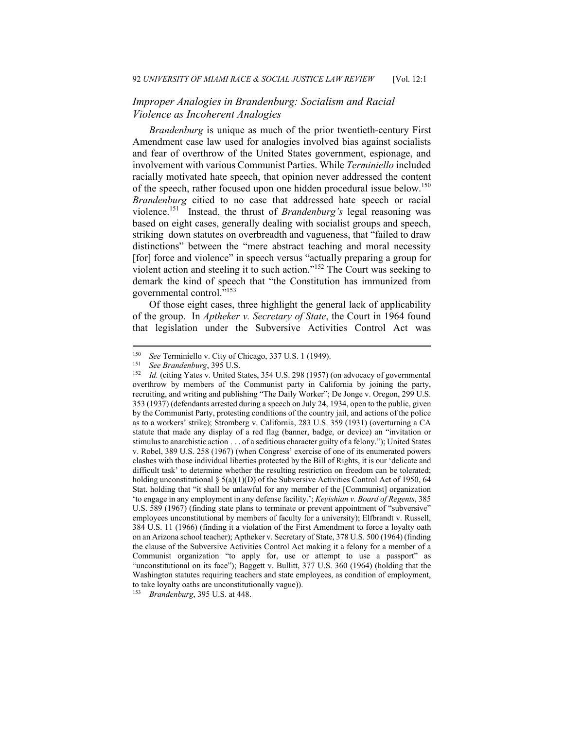# *Improper Analogies in Brandenburg: Socialism and Racial Violence as Incoherent Analogies*

*Brandenburg* is unique as much of the prior twentieth-century First Amendment case law used for analogies involved bias against socialists and fear of overthrow of the United States government, espionage, and involvement with various Communist Parties. While *Terminiello* included racially motivated hate speech, that opinion never addressed the content of the speech, rather focused upon one hidden procedural issue below.150 *Brandenburg* citied to no case that addressed hate speech or racial violence.151 Instead, the thrust of *Brandenburg's* legal reasoning was based on eight cases, generally dealing with socialist groups and speech, striking down statutes on overbreadth and vagueness, that "failed to draw distinctions" between the "mere abstract teaching and moral necessity [for] force and violence" in speech versus "actually preparing a group for violent action and steeling it to such action."152 The Court was seeking to demark the kind of speech that "the Constitution has immunized from governmental control."153

Of those eight cases, three highlight the general lack of applicability of the group. In *Aptheker v. Secretary of State*, the Court in 1964 found that legislation under the Subversive Activities Control Act was

<sup>&</sup>lt;sup>150</sup> See Terminiello v. City of Chicago, 337 U.S. 1 (1949).<br><sup>151</sup> See Brandenburg, 395 U.S.<br><sup>152</sup> Id. (citing Yates v. United States, 354 U.S. 298 (1957) (on advocacy of governmental overthrow by members of the Communist party in California by joining the party, recruiting, and writing and publishing "The Daily Worker"; De Jonge v. Oregon, 299 U.S. 353 (1937) (defendants arrested during a speech on July 24, 1934, open to the public, given by the Communist Party, protesting conditions of the country jail, and actions of the police as to a workers' strike); Stromberg v. California, 283 U.S. 359 (1931) (overturning a CA statute that made any display of a red flag (banner, badge, or device) an "invitation or stimulus to anarchistic action . . . of a seditious character guilty of a felony."); United States v. Robel, 389 U.S. 258 (1967) (when Congress' exercise of one of its enumerated powers clashes with those individual liberties protected by the Bill of Rights, it is our 'delicate and difficult task' to determine whether the resulting restriction on freedom can be tolerated; holding unconstitutional  $\S$  5(a)(1)(D) of the Subversive Activities Control Act of 1950, 64 Stat. holding that "it shall be unlawful for any member of the [Communist] organization 'to engage in any employment in any defense facility.'; *Keyishian v. Board of Regents*, 385 U.S. 589 (1967) (finding state plans to terminate or prevent appointment of "subversive" employees unconstitutional by members of faculty for a university); Elfbrandt v. Russell, 384 U.S. 11 (1966) (finding it a violation of the First Amendment to force a loyalty oath on an Arizona school teacher); Aptheker v. Secretary of State, 378 U.S. 500 (1964) (finding the clause of the Subversive Activities Control Act making it a felony for a member of a Communist organization "to apply for, use or attempt to use a passport" as "unconstitutional on its face"); Baggett v. Bullitt, 377 U.S. 360 (1964) (holding that the Washington statutes requiring teachers and state employees, as condition of employment, to take loyalty oaths are unconstitutionally vague)). 153 *Brandenburg*, 395 U.S. at 448.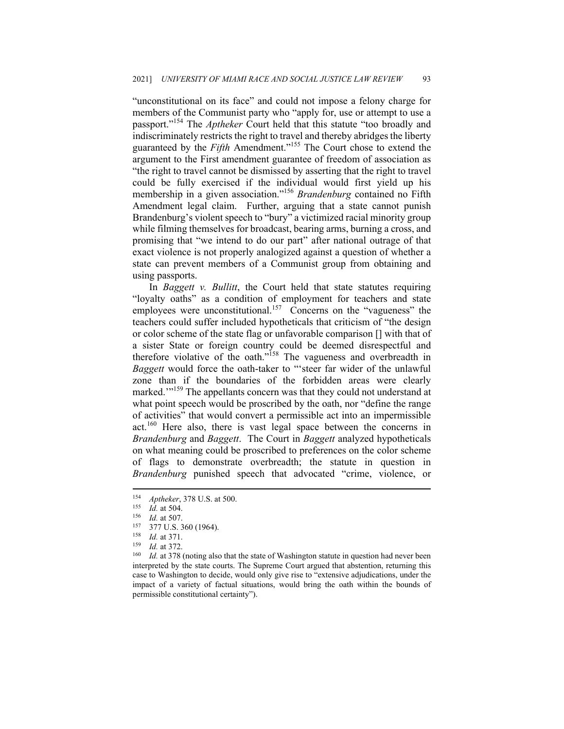"unconstitutional on its face" and could not impose a felony charge for members of the Communist party who "apply for, use or attempt to use a passport."154 The *Aptheker* Court held that this statute "too broadly and indiscriminately restricts the right to travel and thereby abridges the liberty guaranteed by the *Fifth* Amendment."155 The Court chose to extend the argument to the First amendment guarantee of freedom of association as "the right to travel cannot be dismissed by asserting that the right to travel could be fully exercised if the individual would first yield up his membership in a given association."<sup>156</sup> *Brandenburg* contained no Fifth Amendment legal claim. Further, arguing that a state cannot punish Brandenburg's violent speech to "bury" a victimized racial minority group while filming themselves for broadcast, bearing arms, burning a cross, and promising that "we intend to do our part" after national outrage of that exact violence is not properly analogized against a question of whether a state can prevent members of a Communist group from obtaining and using passports.

In *Baggett v. Bullitt*, the Court held that state statutes requiring "loyalty oaths" as a condition of employment for teachers and state employees were unconstitutional.<sup>157</sup> Concerns on the "vagueness" the teachers could suffer included hypotheticals that criticism of "the design or color scheme of the state flag or unfavorable comparison [] with that of a sister State or foreign country could be deemed disrespectful and therefore violative of the oath."<sup>158</sup> The vagueness and overbreadth in *Baggett* would force the oath-taker to "'steer far wider of the unlawful zone than if the boundaries of the forbidden areas were clearly marked."<sup>159</sup> The appellants concern was that they could not understand at what point speech would be proscribed by the oath, nor "define the range of activities" that would convert a permissible act into an impermissible act.160 Here also, there is vast legal space between the concerns in *Brandenburg* and *Baggett*. The Court in *Baggett* analyzed hypotheticals on what meaning could be proscribed to preferences on the color scheme of flags to demonstrate overbreadth; the statute in question in *Brandenburg* punished speech that advocated "crime, violence, or

<sup>&</sup>lt;sup>154</sup> *Aptheker*, 378 U.S. at 500.<br>
<sup>155</sup> *Id.* at 504.<br>
<sup>156</sup> *Id.* at 507.<br>
<sup>157</sup> 377 U.S. 360 (1964).<br>
<sup>158</sup> *Id.* at 371.<br>
<sup>159</sup> *Id.* at 372.<br>
<sup>160</sup> *Id.* at 378 (noting also that the state of Washington statute in q interpreted by the state courts. The Supreme Court argued that abstention, returning this case to Washington to decide, would only give rise to "extensive adjudications, under the impact of a variety of factual situations, would bring the oath within the bounds of permissible constitutional certainty").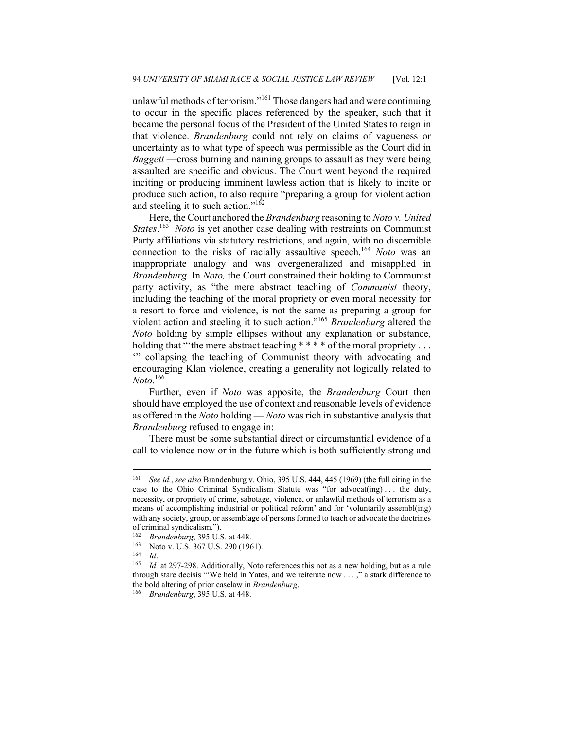unlawful methods of terrorism."161 Those dangers had and were continuing to occur in the specific places referenced by the speaker, such that it became the personal focus of the President of the United States to reign in that violence. *Brandenburg* could not rely on claims of vagueness or uncertainty as to what type of speech was permissible as the Court did in *Baggett* —cross burning and naming groups to assault as they were being assaulted are specific and obvious. The Court went beyond the required inciting or producing imminent lawless action that is likely to incite or produce such action, to also require "preparing a group for violent action and steeling it to such action." $162$ 

Here, the Court anchored the *Brandenburg* reasoning to *Noto v. United States*. 163 *Noto* is yet another case dealing with restraints on Communist Party affiliations via statutory restrictions, and again, with no discernible connection to the risks of racially assaultive speech.<sup>164</sup> *Noto* was an inappropriate analogy and was overgeneralized and misapplied in *Brandenburg*. In *Noto,* the Court constrained their holding to Communist party activity, as "the mere abstract teaching of *Communist* theory, including the teaching of the moral propriety or even moral necessity for a resort to force and violence, is not the same as preparing a group for violent action and steeling it to such action."165 *Brandenburg* altered the *Noto* holding by simple ellipses without any explanation or substance, holding that "'the mere abstract teaching  $***$  \* of the moral propriety ... '" collapsing the teaching of Communist theory with advocating and encouraging Klan violence, creating a generality not logically related to *Noto*. 166

Further, even if *Noto* was apposite, the *Brandenburg* Court then should have employed the use of context and reasonable levels of evidence as offered in the *Noto* holding — *Noto* was rich in substantive analysis that *Brandenburg* refused to engage in:

There must be some substantial direct or circumstantial evidence of a call to violence now or in the future which is both sufficiently strong and

<sup>161</sup> *See id.*, *see also* Brandenburg v. Ohio, 395 U.S. 444, 445 (1969) (the full citing in the case to the Ohio Criminal Syndicalism Statute was "for advocat(ing) . . . the duty, necessity, or propriety of crime, sabotage, violence, or unlawful methods of terrorism as a means of accomplishing industrial or political reform' and for 'voluntarily assembl(ing) with any society, group, or assemblage of persons formed to teach or advocate the doctrines of criminal syndicalism.").

<sup>162</sup> Brandenburg, 395 U.S. at 448.<br>
163 Noto v. U.S. 367 U.S. 290 (1961).<br>
164 *Id.* 165 *Id.* at 297-298. Additionally, Noto references this not as a new holding, but as a rule through stare decisis "'We held in Yates, and we reiterate now . . . ," a stark difference to the bold altering of prior caselaw in *Brandenburg*. 166 *Brandenburg*, 395 U.S. at 448.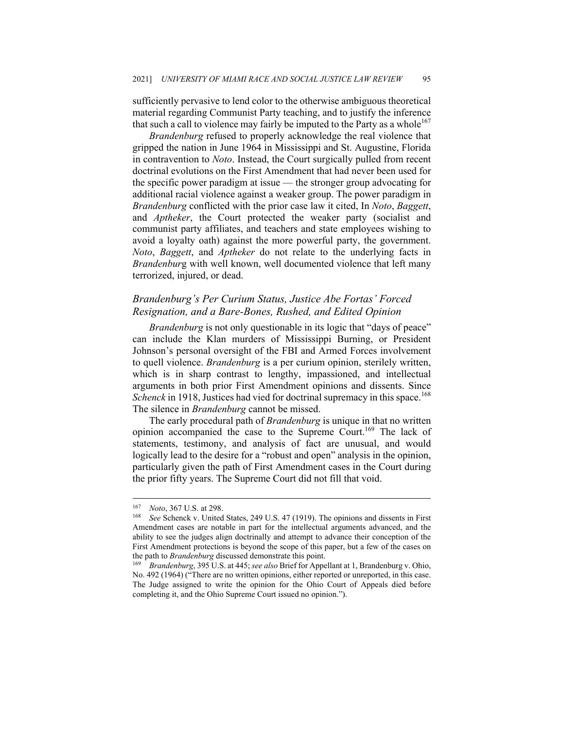sufficiently pervasive to lend color to the otherwise ambiguous theoretical material regarding Communist Party teaching, and to justify the inference that such a call to violence may fairly be imputed to the Party as a whole<sup>167</sup>

*Brandenburg* refused to properly acknowledge the real violence that gripped the nation in June 1964 in Mississippi and St. Augustine, Florida in contravention to *Noto*. Instead, the Court surgically pulled from recent doctrinal evolutions on the First Amendment that had never been used for the specific power paradigm at issue — the stronger group advocating for additional racial violence against a weaker group. The power paradigm in *Brandenburg* conflicted with the prior case law it cited, In *Noto*, *Baggett*, and *Aptheker*, the Court protected the weaker party (socialist and communist party affiliates, and teachers and state employees wishing to avoid a loyalty oath) against the more powerful party, the government. *Noto*, *Baggett*, and *Aptheker* do not relate to the underlying facts in *Brandenbur*g with well known, well documented violence that left many terrorized, injured, or dead.

# *Brandenburg's Per Curium Status, Justice Abe Fortas' Forced Resignation, and a Bare-Bones, Rushed, and Edited Opinion*

*Brandenburg* is not only questionable in its logic that "days of peace" can include the Klan murders of Mississippi Burning, or President Johnson's personal oversight of the FBI and Armed Forces involvement to quell violence. *Brandenburg* is a per curium opinion, sterilely written, which is in sharp contrast to lengthy, impassioned, and intellectual arguments in both prior First Amendment opinions and dissents. Since *Schenck* in 1918, Justices had vied for doctrinal supremacy in this space.<sup>168</sup> The silence in *Brandenburg* cannot be missed.

The early procedural path of *Brandenburg* is unique in that no written opinion accompanied the case to the Supreme Court.<sup>169</sup> The lack of statements, testimony, and analysis of fact are unusual, and would logically lead to the desire for a "robust and open" analysis in the opinion, particularly given the path of First Amendment cases in the Court during the prior fifty years. The Supreme Court did not fill that void.

<sup>167</sup> *Noto*, 367 U.S. at 298. 168 *See* Schenck v. United States, 249 U.S. 47 (1919). The opinions and dissents in First Amendment cases are notable in part for the intellectual arguments advanced, and the ability to see the judges align doctrinally and attempt to advance their conception of the First Amendment protections is beyond the scope of this paper, but a few of the cases on the path to *Brandenburg* discussed demonstrate this point. 169 *Brandenburg*, 395 U.S. at 445; *see also* Brief for Appellant at 1, Brandenburg v. Ohio,

No. 492 (1964) ("There are no written opinions, either reported or unreported, in this case. The Judge assigned to write the opinion for the Ohio Court of Appeals died before completing it, and the Ohio Supreme Court issued no opinion.").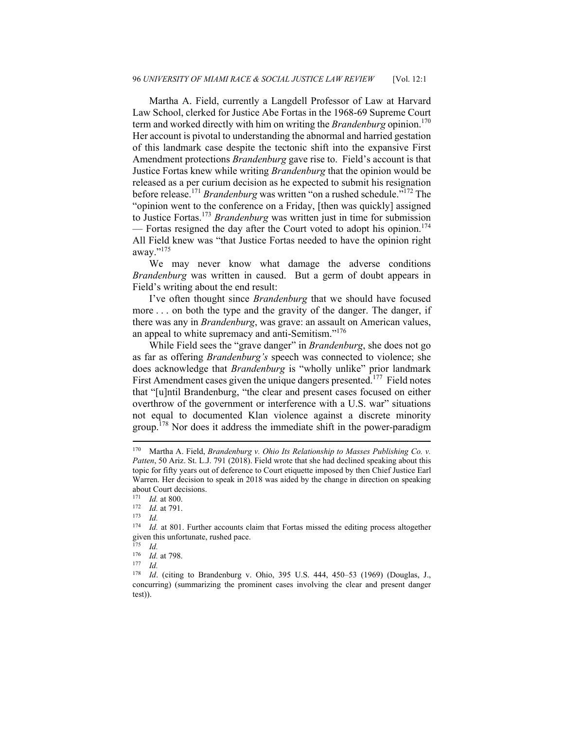Martha A. Field, currently a Langdell Professor of Law at Harvard Law School, clerked for Justice Abe Fortas in the 1968-69 Supreme Court term and worked directly with him on writing the *Brandenburg* opinion.<sup>170</sup> Her account is pivotal to understanding the abnormal and harried gestation of this landmark case despite the tectonic shift into the expansive First Amendment protections *Brandenburg* gave rise to. Field's account is that Justice Fortas knew while writing *Brandenburg* that the opinion would be released as a per curium decision as he expected to submit his resignation before release.171 *Brandenburg* was written "on a rushed schedule."172 The "opinion went to the conference on a Friday, [then was quickly] assigned to Justice Fortas.<sup>173</sup> *Brandenburg* was written just in time for submission — Fortas resigned the day after the Court voted to adopt his opinion.<sup>174</sup> All Field knew was "that Justice Fortas needed to have the opinion right away."175

We may never know what damage the adverse conditions *Brandenburg* was written in caused. But a germ of doubt appears in Field's writing about the end result:

I've often thought since *Brandenburg* that we should have focused more . . . on both the type and the gravity of the danger. The danger, if there was any in *Brandenburg*, was grave: an assault on American values, an appeal to white supremacy and anti-Semitism."<sup>176</sup>

While Field sees the "grave danger" in *Brandenburg*, she does not go as far as offering *Brandenburg's* speech was connected to violence; she does acknowledge that *Brandenburg* is "wholly unlike" prior landmark First Amendment cases given the unique dangers presented.<sup>177</sup> Field notes that "[u]ntil Brandenburg, "the clear and present cases focused on either overthrow of the government or interference with a U.S. war" situations not equal to documented Klan violence against a discrete minority group.<sup>178</sup> Nor does it address the immediate shift in the power-paradigm

<sup>170</sup> Martha A. Field, *Brandenburg v. Ohio Its Relationship to Masses Publishing Co. v. Patten*, 50 Ariz. St. L.J. 791 (2018). Field wrote that she had declined speaking about this topic for fifty years out of deference to Court etiquette imposed by then Chief Justice Earl Warren. Her decision to speak in 2018 was aided by the change in direction on speaking about Court decisions.

<sup>171</sup> *Id.* at 800. 172 *Id.* at 791. 173 *Id.*

Id. at 801. Further accounts claim that Fortas missed the editing process altogether given this unfortunate, rushed pace.<br><sup>175</sup> *Id.*<br><sup>176</sup> *Id.* at 798

<sup>176</sup> *Id.* at 798. 177 *Id.*

*Id.* (citing to Brandenburg v. Ohio, 395 U.S. 444, 450–53 (1969) (Douglas, J., concurring) (summarizing the prominent cases involving the clear and present danger test)).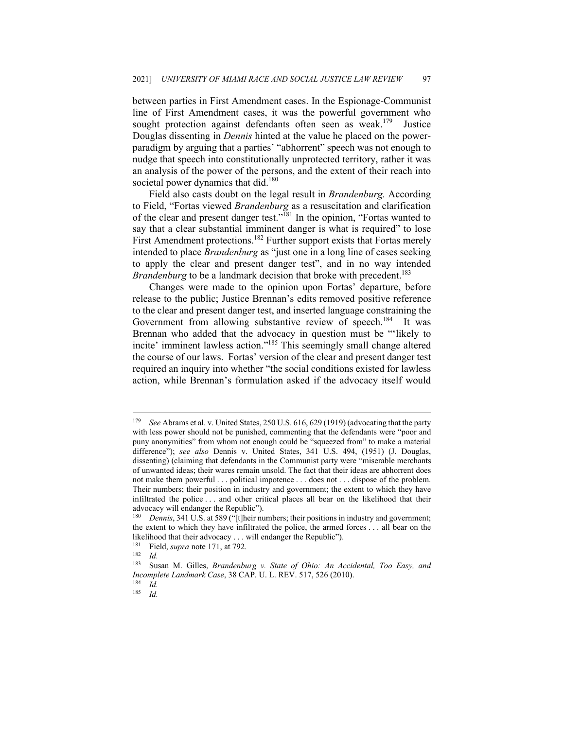between parties in First Amendment cases. In the Espionage-Communist line of First Amendment cases, it was the powerful government who sought protection against defendants often seen as weak.<sup>179</sup> Justice Douglas dissenting in *Dennis* hinted at the value he placed on the powerparadigm by arguing that a parties' "abhorrent" speech was not enough to nudge that speech into constitutionally unprotected territory, rather it was an analysis of the power of the persons, and the extent of their reach into societal power dynamics that did.<sup>180</sup>

Field also casts doubt on the legal result in *Brandenburg.* According to Field, "Fortas viewed *Brandenburg* as a resuscitation and clarification of the clear and present danger test."<sup>181</sup> In the opinion, "Fortas wanted to say that a clear substantial imminent danger is what is required" to lose First Amendment protections.<sup>182</sup> Further support exists that Fortas merely intended to place *Brandenburg* as "just one in a long line of cases seeking to apply the clear and present danger test", and in no way intended *Brandenburg* to be a landmark decision that broke with precedent.<sup>183</sup>

Changes were made to the opinion upon Fortas' departure, before release to the public; Justice Brennan's edits removed positive reference to the clear and present danger test, and inserted language constraining the Government from allowing substantive review of speech.<sup>184</sup> It was Brennan who added that the advocacy in question must be "'likely to incite' imminent lawless action."185 This seemingly small change altered the course of our laws. Fortas' version of the clear and present danger test required an inquiry into whether "the social conditions existed for lawless action, while Brennan's formulation asked if the advocacy itself would

<sup>179</sup> *See* Abrams et al. v. United States, 250 U.S. 616, 629 (1919) (advocating that the party with less power should not be punished, commenting that the defendants were "poor and puny anonymities" from whom not enough could be "squeezed from" to make a material difference"); *see also* Dennis v. United States, 341 U.S. 494, (1951) (J. Douglas, dissenting) (claiming that defendants in the Communist party were "miserable merchants of unwanted ideas; their wares remain unsold. The fact that their ideas are abhorrent does not make them powerful . . . political impotence . . . does not . . . dispose of the problem. Their numbers; their position in industry and government; the extent to which they have infiltrated the police . . . and other critical places all bear on the likelihood that their advocacy will endanger the Republic").

<sup>&</sup>lt;sup>180</sup> *Dennis*, 341 U.S. at 589 ("[t]heir numbers; their positions in industry and government; the extent to which they have infiltrated the police, the armed forces . . . all bear on the likelihood that their advocacy . . . will endanger the Republic").<br>
<sup>181</sup> Field, *supra* note 171, at 792.<br>
<sup>182</sup> Id.<br>
<sup>183</sup> Susan M. Gilles, *Brandaphyra* y. *State of Objo*: An A.

Susan M. Gilles, *Brandenburg v. State of Ohio: An Accidental, Too Easy, and Incomplete Landmark Case*, 38 CAP. U. L. REV. 517, 526 (2010).<br><sup>184</sup> *Id.*<br>185 *Id* 

<sup>185</sup> *Id.*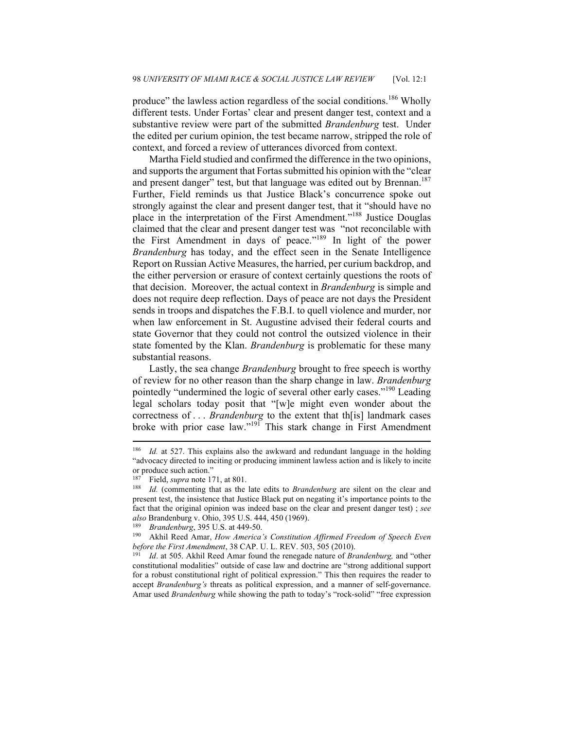produce" the lawless action regardless of the social conditions.<sup>186</sup> Wholly different tests. Under Fortas' clear and present danger test, context and a substantive review were part of the submitted *Brandenburg* test. Under the edited per curium opinion, the test became narrow, stripped the role of context, and forced a review of utterances divorced from context.

Martha Field studied and confirmed the difference in the two opinions, and supports the argument that Fortas submitted his opinion with the "clear and present danger" test, but that language was edited out by Brennan.<sup>187</sup> Further, Field reminds us that Justice Black's concurrence spoke out strongly against the clear and present danger test, that it "should have no place in the interpretation of the First Amendment."188 Justice Douglas claimed that the clear and present danger test was "not reconcilable with the First Amendment in days of peace."189 In light of the power *Brandenburg* has today, and the effect seen in the Senate Intelligence Report on Russian Active Measures, the harried, per curium backdrop, and the either perversion or erasure of context certainly questions the roots of that decision. Moreover, the actual context in *Brandenburg* is simple and does not require deep reflection. Days of peace are not days the President sends in troops and dispatches the F.B.I. to quell violence and murder, nor when law enforcement in St. Augustine advised their federal courts and state Governor that they could not control the outsized violence in their state fomented by the Klan. *Brandenburg* is problematic for these many substantial reasons.

Lastly, the sea change *Brandenburg* brought to free speech is worthy of review for no other reason than the sharp change in law. *Brandenburg* pointedly "undermined the logic of several other early cases."<sup>190</sup> Leading legal scholars today posit that "[w]e might even wonder about the correctness of . . . *Brandenburg* to the extent that th[is] landmark cases broke with prior case law."<sup>191</sup> This stark change in First Amendment

<sup>186</sup> *Id.* at 527. This explains also the awkward and redundant language in the holding "advocacy directed to inciting or producing imminent lawless action and is likely to incite or produce such action."

<sup>&</sup>lt;sup>187</sup> Field, *supra* note 171, at 801.<br><sup>188</sup> *Id.* (commenting that as the late edits to *Brandenburg* are silent on the clear and present test, the insistence that Justice Black put on negating it's importance points to the fact that the original opinion was indeed base on the clear and present danger test) ; *see also* Brandenburg v. Ohio, 395 U.S. 444, 450 (1969).<br><sup>189</sup> Brandenburg, 395 U.S. at 449-50.<br><sup>190</sup> Akhil Reed Amar, *How America's Constitution Affirmed Freedom of Speech Even* 

*before the First Amendment*, 38 CAP. U. L. REV. 503, 505 (2010). 191 *Id*. at 505. Akhil Reed Amar found the renegade nature of *Brandenburg,* and "other

constitutional modalities" outside of case law and doctrine are "strong additional support for a robust constitutional right of political expression." This then requires the reader to accept *Brandenburg's* threats as political expression, and a manner of self-governance. Amar used *Brandenburg* while showing the path to today's "rock-solid" "free expression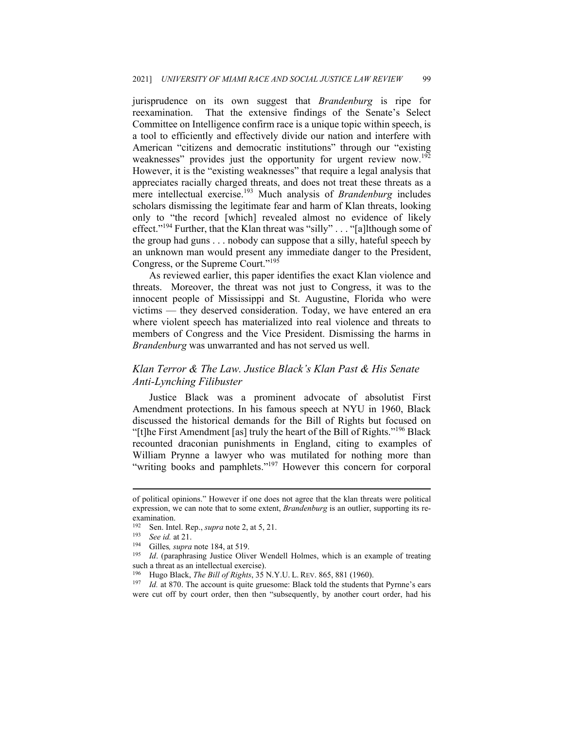jurisprudence on its own suggest that *Brandenburg* is ripe for reexamination. That the extensive findings of the Senate's Select Committee on Intelligence confirm race is a unique topic within speech, is a tool to efficiently and effectively divide our nation and interfere with American "citizens and democratic institutions" through our "existing weaknesses" provides just the opportunity for urgent review now.<sup>192</sup> However, it is the "existing weaknesses" that require a legal analysis that appreciates racially charged threats, and does not treat these threats as a mere intellectual exercise.<sup>193</sup> Much analysis of *Brandenburg* includes scholars dismissing the legitimate fear and harm of Klan threats, looking only to "the record [which] revealed almost no evidence of likely effect."<sup>194</sup> Further, that the Klan threat was "silly" . . . "[a]lthough some of the group had guns . . . nobody can suppose that a silly, hateful speech by an unknown man would present any immediate danger to the President, Congress, or the Supreme Court."<sup>195</sup>

As reviewed earlier, this paper identifies the exact Klan violence and threats. Moreover, the threat was not just to Congress, it was to the innocent people of Mississippi and St. Augustine, Florida who were victims — they deserved consideration. Today, we have entered an era where violent speech has materialized into real violence and threats to members of Congress and the Vice President. Dismissing the harms in *Brandenburg* was unwarranted and has not served us well.

# *Klan Terror & The Law. Justice Black's Klan Past & His Senate Anti-Lynching Filibuster*

Justice Black was a prominent advocate of absolutist First Amendment protections. In his famous speech at NYU in 1960, Black discussed the historical demands for the Bill of Rights but focused on "[t]he First Amendment [as] truly the heart of the Bill of Rights."<sup>196</sup> Black recounted draconian punishments in England, citing to examples of William Prynne a lawyer who was mutilated for nothing more than "writing books and pamphlets."<sup>197</sup> However this concern for corporal

of political opinions." However if one does not agree that the klan threats were political expression, we can note that to some extent, *Brandenburg* is an outlier, supporting its reexamination.

<sup>192</sup> Sen. Intel. Rep., *supra* note 2, at 5, 21.<br>
193 *See id.* at 21.<br>
194 Gilles, *supra* note 184, at 519.<br>
195 *Id.* (paraphrasing Justice Oliver Wendell Holmes, which is an example of treating such a threat as an intellectual exercise).

<sup>&</sup>lt;sup>196</sup> Hugo Black, *The Bill of Rights*, 35 N.Y.U. L. REV. 865, 881 (1960).<br><sup>197</sup> Id. at 870. The account is quite gruesome: Black told the students that Pyrnne's ears were cut off by court order, then then "subsequently, by another court order, had his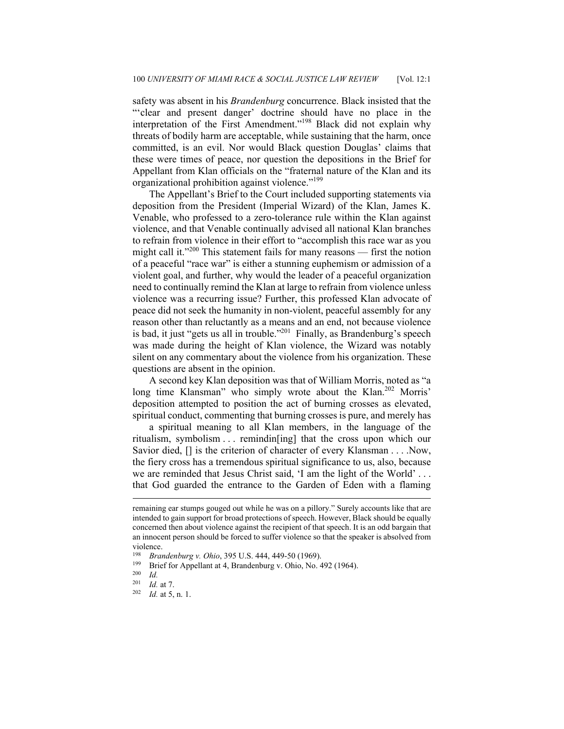safety was absent in his *Brandenburg* concurrence. Black insisted that the "'clear and present danger' doctrine should have no place in the interpretation of the First Amendment."<sup>198</sup> Black did not explain why threats of bodily harm are acceptable, while sustaining that the harm, once committed, is an evil. Nor would Black question Douglas' claims that these were times of peace, nor question the depositions in the Brief for Appellant from Klan officials on the "fraternal nature of the Klan and its organizational prohibition against violence."<sup>199</sup>

The Appellant's Brief to the Court included supporting statements via deposition from the President (Imperial Wizard) of the Klan, James K. Venable, who professed to a zero-tolerance rule within the Klan against violence, and that Venable continually advised all national Klan branches to refrain from violence in their effort to "accomplish this race war as you might call it."<sup>200</sup> This statement fails for many reasons — first the notion of a peaceful "race war" is either a stunning euphemism or admission of a violent goal, and further, why would the leader of a peaceful organization need to continually remind the Klan at large to refrain from violence unless violence was a recurring issue? Further, this professed Klan advocate of peace did not seek the humanity in non-violent, peaceful assembly for any reason other than reluctantly as a means and an end, not because violence is bad, it just "gets us all in trouble."<sup>201</sup> Finally, as Brandenburg's speech was made during the height of Klan violence, the Wizard was notably silent on any commentary about the violence from his organization. These questions are absent in the opinion.

A second key Klan deposition was that of William Morris, noted as "a long time Klansman" who simply wrote about the Klan.<sup>202</sup> Morris' deposition attempted to position the act of burning crosses as elevated, spiritual conduct, commenting that burning crosses is pure, and merely has

a spiritual meaning to all Klan members, in the language of the ritualism, symbolism . . . remindin[ing] that the cross upon which our Savior died,  $[]$  is the criterion of character of every Klansman . . . . Now, the fiery cross has a tremendous spiritual significance to us, also, because we are reminded that Jesus Christ said, 'I am the light of the World' ... that God guarded the entrance to the Garden of Eden with a flaming

remaining ear stumps gouged out while he was on a pillory." Surely accounts like that are intended to gain support for broad protections of speech. However, Black should be equally concerned then about violence against the recipient of that speech. It is an odd bargain that an innocent person should be forced to suffer violence so that the speaker is absolved from violence.

<sup>&</sup>lt;sup>198</sup> *Brandenburg v. Ohio*, 395 U.S. 444, 449-50 (1969).<br>
<sup>199</sup> Brief for Appellant at 4, Brandenburg v. Ohio, No. 492 (1964).<br>
<sup>200</sup>*Id.* at 7

<sup>201</sup> *Id.* at 7. 202 *Id.* at 5, n. 1.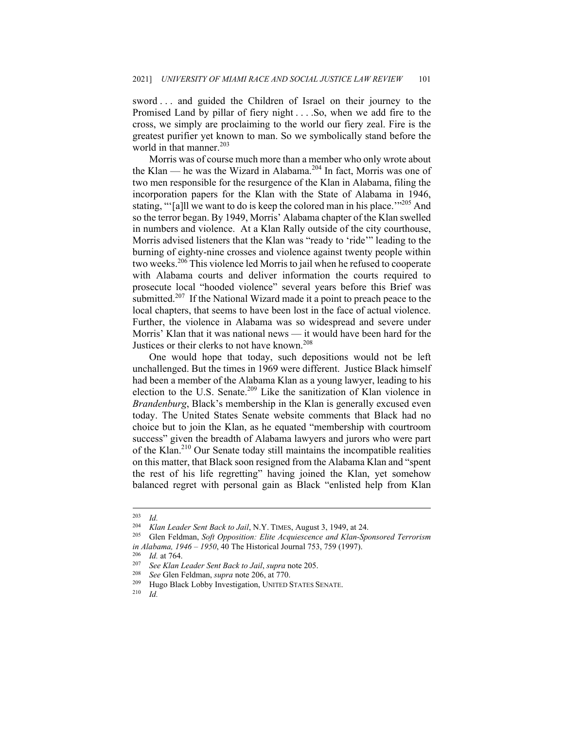sword . . . and guided the Children of Israel on their journey to the Promised Land by pillar of fiery night . . . .So, when we add fire to the cross, we simply are proclaiming to the world our fiery zeal. Fire is the greatest purifier yet known to man. So we symbolically stand before the world in that manner.<sup>203</sup>

Morris was of course much more than a member who only wrote about the Klan — he was the Wizard in Alabama.<sup>204</sup> In fact, Morris was one of two men responsible for the resurgence of the Klan in Alabama, filing the incorporation papers for the Klan with the State of Alabama in 1946, stating, "[a]ll we want to do is keep the colored man in his place."<sup>205</sup> And so the terror began. By 1949, Morris' Alabama chapter of the Klan swelled in numbers and violence. At a Klan Rally outside of the city courthouse, Morris advised listeners that the Klan was "ready to 'ride'" leading to the burning of eighty-nine crosses and violence against twenty people within two weeks.206 This violence led Morris to jail when he refused to cooperate with Alabama courts and deliver information the courts required to prosecute local "hooded violence" several years before this Brief was submitted.<sup>207</sup> If the National Wizard made it a point to preach peace to the local chapters, that seems to have been lost in the face of actual violence. Further, the violence in Alabama was so widespread and severe under Morris' Klan that it was national news — it would have been hard for the Justices or their clerks to not have known.<sup>208</sup>

One would hope that today, such depositions would not be left unchallenged. But the times in 1969 were different. Justice Black himself had been a member of the Alabama Klan as a young lawyer, leading to his election to the U.S. Senate.<sup>209</sup> Like the sanitization of Klan violence in *Brandenburg*, Black's membership in the Klan is generally excused even today. The United States Senate website comments that Black had no choice but to join the Klan, as he equated "membership with courtroom success" given the breadth of Alabama lawyers and jurors who were part of the Klan.<sup>210</sup> Our Senate today still maintains the incompatible realities on this matter, that Black soon resigned from the Alabama Klan and "spent the rest of his life regretting" having joined the Klan, yet somehow balanced regret with personal gain as Black "enlisted help from Klan

 $\frac{203}{204}$  *Id.* 

<sup>&</sup>lt;sup>204</sup> Klan Leader Sent Back to Jail, N.Y. TIMES, August 3, 1949, at 24.<br><sup>205</sup> Glen Feldman, *Soft Opposition: Elite Acquiescence and Klan-Sponsored Terrorism in Alabama, 1946 – 1950, 40* The Historical Journal 753, 759 (1997).<br>
<sup>206</sup> Id. at 764.<br>
<sup>207</sup> See Klan Leader Sent Back to Jail, supra note 205.<br>
<sup>208</sup> See Glen Feldman, supra note 206, at 770.<br>
<sup>209</sup> Hugo Black Lobby I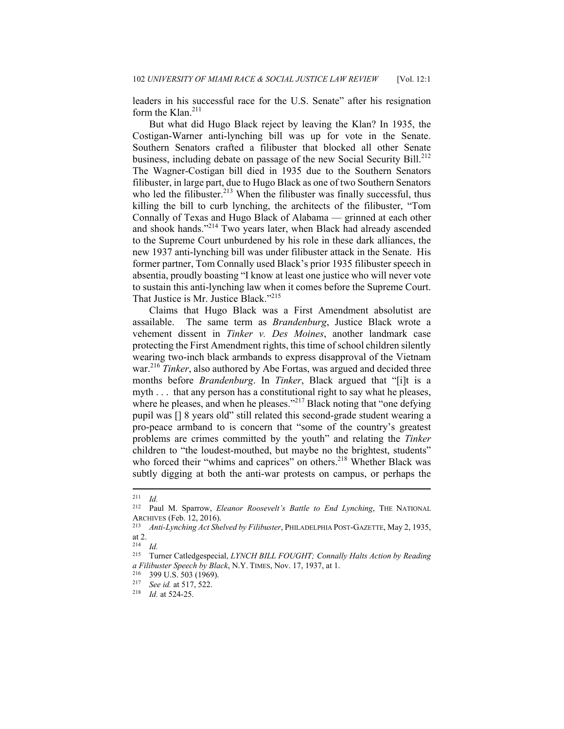leaders in his successful race for the U.S. Senate" after his resignation form the Klan. $211$ 

But what did Hugo Black reject by leaving the Klan? In 1935, the Costigan-Warner anti-lynching bill was up for vote in the Senate. Southern Senators crafted a filibuster that blocked all other Senate business, including debate on passage of the new Social Security Bill.<sup>212</sup> The Wagner-Costigan bill died in 1935 due to the Southern Senators filibuster, in large part, due to Hugo Black as one of two Southern Senators who led the filibuster. $2^{13}$  When the filibuster was finally successful, thus killing the bill to curb lynching, the architects of the filibuster, "Tom Connally of Texas and Hugo Black of Alabama — grinned at each other and shook hands."214 Two years later, when Black had already ascended to the Supreme Court unburdened by his role in these dark alliances, the new 1937 anti-lynching bill was under filibuster attack in the Senate. His former partner, Tom Connally used Black's prior 1935 filibuster speech in absentia, proudly boasting "I know at least one justice who will never vote to sustain this anti-lynching law when it comes before the Supreme Court. That Justice is Mr. Justice Black."<sup>215</sup>

Claims that Hugo Black was a First Amendment absolutist are assailable. The same term as *Brandenburg*, Justice Black wrote a vehement dissent in *Tinker v. Des Moines*, another landmark case protecting the First Amendment rights, this time of school children silently wearing two-inch black armbands to express disapproval of the Vietnam war.<sup>216</sup> *Tinker*, also authored by Abe Fortas, was argued and decided three months before *Brandenburg*. In *Tinker*, Black argued that "[i]t is a myth . . . that any person has a constitutional right to say what he pleases, where he pleases, and when he pleases."<sup>217</sup> Black noting that "one defying pupil was [] 8 years old" still related this second-grade student wearing a pro-peace armband to is concern that "some of the country's greatest problems are crimes committed by the youth" and relating the *Tinker* children to "the loudest-mouthed, but maybe no the brightest, students" who forced their "whims and caprices" on others.<sup>218</sup> Whether Black was subtly digging at both the anti-war protests on campus, or perhaps the

<sup>214</sup> *Id.*

<sup>211</sup> *Id.*

<sup>212</sup> Paul M. Sparrow, *Eleanor Roosevelt's Battle to End Lynching*, THE NATIONAL ARCHIVES (Feb. 12, 2016). 213 *Anti-Lynching Act Shelved by Filibuster*, PHILADELPHIA POST-GAZETTE, May 2, 1935,

at 2.

<sup>215</sup> Turner Catledgespecial, *LYNCH BILL FOUGHT; Connally Halts Action by Reading a Filibuster Speech by Black*, N.Y. TIMES, Nov. 17, 1937, at 1. 216 399 U.S. 503 (1969). 217 *See id.* at 517, 522. 218 *Id.* at 524-25.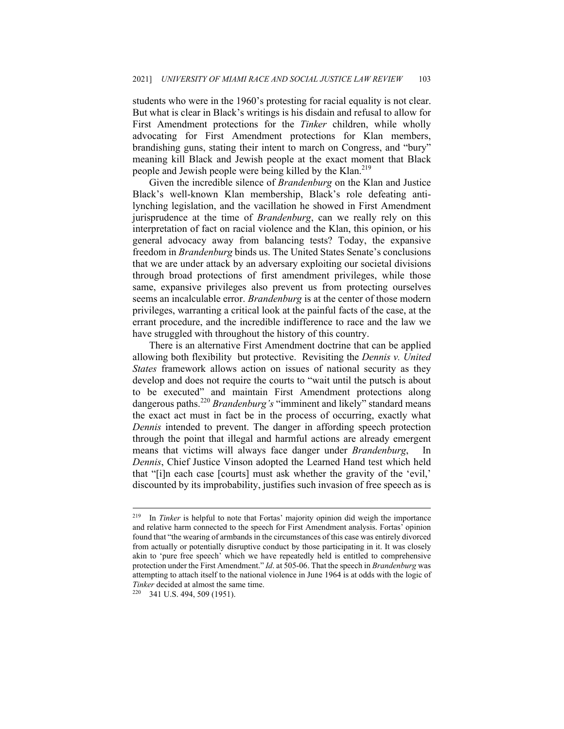students who were in the 1960's protesting for racial equality is not clear. But what is clear in Black's writings is his disdain and refusal to allow for First Amendment protections for the *Tinker* children, while wholly advocating for First Amendment protections for Klan members, brandishing guns, stating their intent to march on Congress, and "bury" meaning kill Black and Jewish people at the exact moment that Black people and Jewish people were being killed by the Klan.<sup>219</sup>

Given the incredible silence of *Brandenburg* on the Klan and Justice Black's well-known Klan membership, Black's role defeating antilynching legislation, and the vacillation he showed in First Amendment jurisprudence at the time of *Brandenburg*, can we really rely on this interpretation of fact on racial violence and the Klan, this opinion, or his general advocacy away from balancing tests? Today, the expansive freedom in *Brandenburg* binds us. The United States Senate's conclusions that we are under attack by an adversary exploiting our societal divisions through broad protections of first amendment privileges, while those same, expansive privileges also prevent us from protecting ourselves seems an incalculable error. *Brandenburg* is at the center of those modern privileges, warranting a critical look at the painful facts of the case, at the errant procedure, and the incredible indifference to race and the law we have struggled with throughout the history of this country.

There is an alternative First Amendment doctrine that can be applied allowing both flexibility but protective. Revisiting the *Dennis v. United States* framework allows action on issues of national security as they develop and does not require the courts to "wait until the putsch is about to be executed" and maintain First Amendment protections along dangerous paths.<sup>220</sup> *Brandenburg's* "imminent and likely" standard means the exact act must in fact be in the process of occurring, exactly what *Dennis* intended to prevent. The danger in affording speech protection through the point that illegal and harmful actions are already emergent means that victims will always face danger under *Brandenburg*, In *Dennis*, Chief Justice Vinson adopted the Learned Hand test which held that "[i]n each case [courts] must ask whether the gravity of the 'evil,' discounted by its improbability, justifies such invasion of free speech as is

<sup>219</sup> In *Tinker* is helpful to note that Fortas' majority opinion did weigh the importance and relative harm connected to the speech for First Amendment analysis. Fortas' opinion found that "the wearing of armbands in the circumstances of this case was entirely divorced from actually or potentially disruptive conduct by those participating in it. It was closely akin to 'pure free speech' which we have repeatedly held is entitled to comprehensive protection under the First Amendment." *Id*. at 505-06. That the speech in *Brandenburg* was attempting to attach itself to the national violence in June 1964 is at odds with the logic of *Tinker* decided at almost the same time.<br><sup>220</sup> 341 U.S. 494, 509 (1951).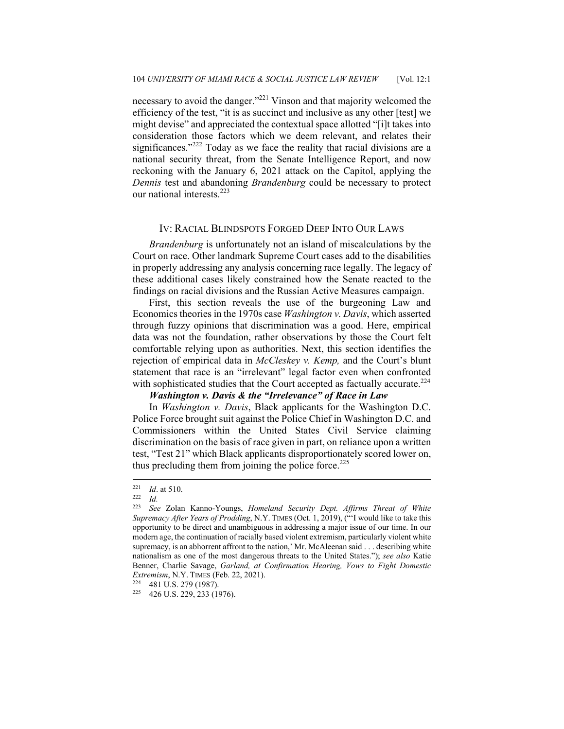necessary to avoid the danger."<sup>221</sup> Vinson and that majority welcomed the efficiency of the test, "it is as succinct and inclusive as any other [test] we might devise" and appreciated the contextual space allotted "[i]t takes into consideration those factors which we deem relevant, and relates their significances."<sup>222</sup> Today as we face the reality that racial divisions are a national security threat, from the Senate Intelligence Report, and now reckoning with the January 6, 2021 attack on the Capitol, applying the *Dennis* test and abandoning *Brandenburg* could be necessary to protect our national interests.<sup>223</sup>

#### IV: RACIAL BLINDSPOTS FORGED DEEP INTO OUR LAWS

*Brandenburg* is unfortunately not an island of miscalculations by the Court on race. Other landmark Supreme Court cases add to the disabilities in properly addressing any analysis concerning race legally. The legacy of these additional cases likely constrained how the Senate reacted to the findings on racial divisions and the Russian Active Measures campaign.

First, this section reveals the use of the burgeoning Law and Economics theories in the 1970s case *Washington v. Davis*, which asserted through fuzzy opinions that discrimination was a good. Here, empirical data was not the foundation, rather observations by those the Court felt comfortable relying upon as authorities. Next, this section identifies the rejection of empirical data in *McCleskey v. Kemp,* and the Court's blunt statement that race is an "irrelevant" legal factor even when confronted with sophisticated studies that the Court accepted as factually accurate.<sup>224</sup>

#### *Washington v. Davis & the "Irrelevance" of Race in Law*

In *Washington v. Davis*, Black applicants for the Washington D.C. Police Force brought suit against the Police Chief in Washington D.C. and Commissioners within the United States Civil Service claiming discrimination on the basis of race given in part, on reliance upon a written test, "Test 21" which Black applicants disproportionately scored lower on, thus precluding them from joining the police force.<sup>225</sup>

<sup>221</sup> *Id*. at 510. 222 *Id.*

<sup>223</sup> *See* Zolan Kanno-Youngs, *Homeland Security Dept. Affirms Threat of White Supremacy After Years of Prodding*, N.Y. TIMES (Oct. 1, 2019), ("'I would like to take this opportunity to be direct and unambiguous in addressing a major issue of our time. In our modern age, the continuation of racially based violent extremism, particularly violent white supremacy, is an abhorrent affront to the nation,' Mr. McAleenan said . . . describing white nationalism as one of the most dangerous threats to the United States."); *see also* Katie Benner, Charlie Savage, *Garland, at Confirmation Hearing, Vows to Fight Domestic Extremism*, N.Y. TIMES (Feb. 22, 2021).<br><sup>224</sup> 481 U.S. 279 (1987).<br><sup>225</sup> 426 U.S. 229, 233 (1976).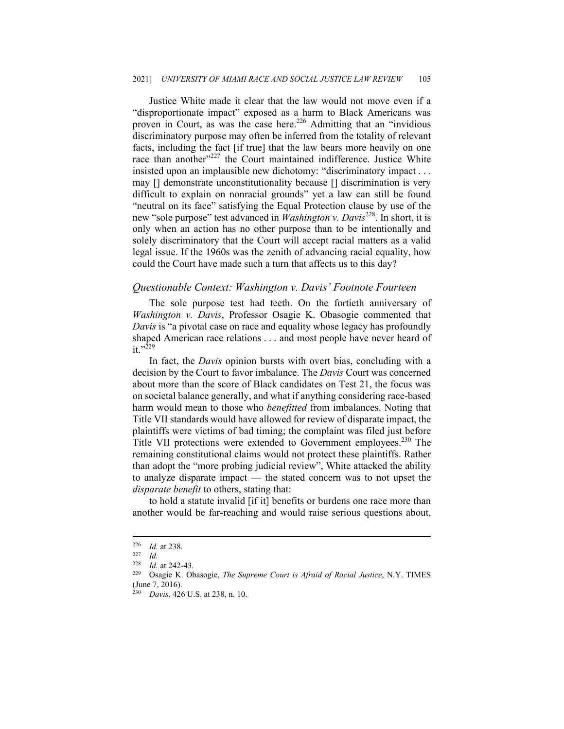Justice White made it clear that the law would not move even if a "disproportionate impact" exposed as a harm to Black Americans was proven in Court, as was the case here.<sup>226</sup> Admitting that an "invidious" discriminatory purpose may often be inferred from the totality of relevant facts, including the fact [if true] that the law bears more heavily on one race than another"<sup>227</sup> the Court maintained indifference. Justice White insisted upon an implausible new dichotomy: "discriminatory impact . . . may [] demonstrate unconstitutionality because [] discrimination is very difficult to explain on nonracial grounds" yet a law can still be found "neutral on its face" satisfying the Equal Protection clause by use of the new "sole purpose" test advanced in *Washington v. Davis*228. In short, it is only when an action has no other purpose than to be intentionally and solely discriminatory that the Court will accept racial matters as a valid legal issue. If the 1960s was the zenith of advancing racial equality, how could the Court have made such a turn that affects us to this day?

#### *Questionable Context: Washington v. Davis' Footnote Fourteen*

The sole purpose test had teeth. On the fortieth anniversary of *Washington v. Davis*, Professor Osagie K. Obasogie commented that *Davis* is "a pivotal case on race and equality whose legacy has profoundly shaped American race relations . . . and most people have never heard of  $it. "229"$ 

In fact, the *Davis* opinion bursts with overt bias, concluding with a decision by the Court to favor imbalance. The *Davis* Court was concerned about more than the score of Black candidates on Test 21, the focus was on societal balance generally, and what if anything considering race-based harm would mean to those who *benefitted* from imbalances. Noting that Title VII standards would have allowed for review of disparate impact, the plaintiffs were victims of bad timing; the complaint was filed just before Title VII protections were extended to Government employees.<sup>230</sup> The remaining constitutional claims would not protect these plaintiffs. Rather than adopt the "more probing judicial review", White attacked the ability to analyze disparate impact — the stated concern was to not upset the *disparate benefit* to others, stating that:

to hold a statute invalid [if it] benefits or burdens one race more than another would be far-reaching and would raise serious questions about,

<sup>226</sup> *Id.* at 238. 227 *Id.*

<sup>228</sup> *Id.* at 242-43. 229 Osagie K. Obasogie, *The Supreme Court is Afraid of Racial Justice*, N.Y. TIMES (June 7, 2016).

<sup>230</sup> *Davis*, 426 U.S. at 238, n. 10.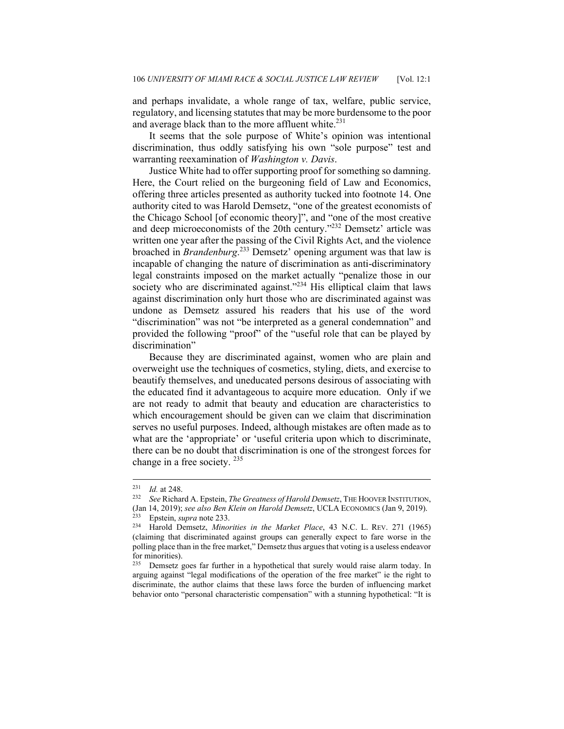and perhaps invalidate, a whole range of tax, welfare, public service, regulatory, and licensing statutes that may be more burdensome to the poor and average black than to the more affluent white. $^{231}$ 

It seems that the sole purpose of White's opinion was intentional discrimination, thus oddly satisfying his own "sole purpose" test and warranting reexamination of *Washington v. Davis*.

Justice White had to offer supporting proof for something so damning. Here, the Court relied on the burgeoning field of Law and Economics, offering three articles presented as authority tucked into footnote 14. One authority cited to was Harold Demsetz, "one of the greatest economists of the Chicago School [of economic theory]", and "one of the most creative and deep microeconomists of the 20th century."<sup>232</sup> Demsetz' article was written one year after the passing of the Civil Rights Act, and the violence broached in *Brandenburg*. 233 Demsetz' opening argument was that law is incapable of changing the nature of discrimination as anti-discriminatory legal constraints imposed on the market actually "penalize those in our society who are discriminated against."<sup>234</sup> His elliptical claim that laws against discrimination only hurt those who are discriminated against was undone as Demsetz assured his readers that his use of the word "discrimination" was not "be interpreted as a general condemnation" and provided the following "proof" of the "useful role that can be played by discrimination"

Because they are discriminated against, women who are plain and overweight use the techniques of cosmetics, styling, diets, and exercise to beautify themselves, and uneducated persons desirous of associating with the educated find it advantageous to acquire more education. Only if we are not ready to admit that beauty and education are characteristics to which encouragement should be given can we claim that discrimination serves no useful purposes. Indeed, although mistakes are often made as to what are the 'appropriate' or 'useful criteria upon which to discriminate, there can be no doubt that discrimination is one of the strongest forces for change in a free society. <sup>235</sup>

<sup>231</sup> *Id.* at 248. 232 *See* Richard A. Epstein, *The Greatness of Harold Demsetz*, THE HOOVER INSTITUTION, (Jan 14, 2019); *see also Ben Klein on Harold Demsetz*, UCLA ECONOMICS (Jan 9, 2019). 233 Epstein, *supra* note 233. 234 Harold Demsetz, *Minorities in the Market Place*, 43 N.C. L. REV. 271 (1965)

<sup>(</sup>claiming that discriminated against groups can generally expect to fare worse in the polling place than in the free market," Demsetz thus argues that voting is a useless endeavor for minorities).

<sup>&</sup>lt;sup>235</sup> Demsetz goes far further in a hypothetical that surely would raise alarm today. In arguing against "legal modifications of the operation of the free market" ie the right to discriminate, the author claims that these laws force the burden of influencing market behavior onto "personal characteristic compensation" with a stunning hypothetical: "It is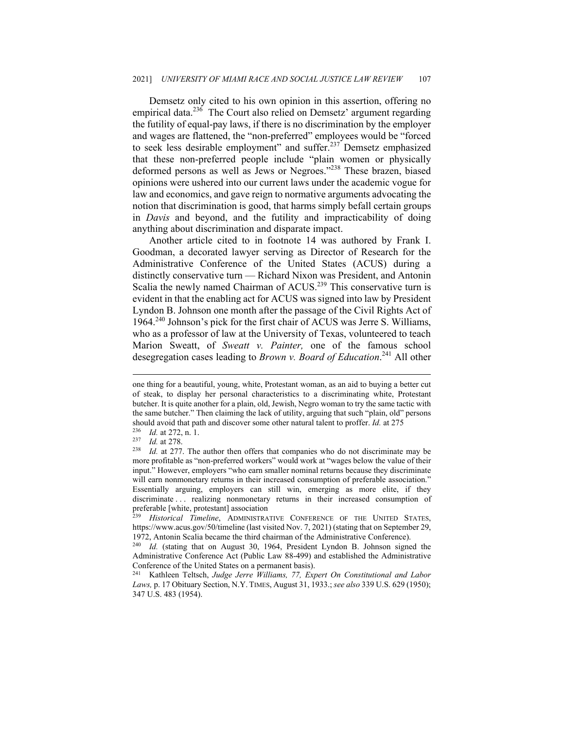Demsetz only cited to his own opinion in this assertion, offering no empirical data.<sup>236</sup> The Court also relied on Demsetz' argument regarding the futility of equal-pay laws, if there is no discrimination by the employer and wages are flattened, the "non-preferred" employees would be "forced to seek less desirable employment" and suffer.<sup>237</sup> Demsetz emphasized that these non-preferred people include "plain women or physically deformed persons as well as Jews or Negroes."238 These brazen, biased opinions were ushered into our current laws under the academic vogue for law and economics, and gave reign to normative arguments advocating the notion that discrimination is good, that harms simply befall certain groups in *Davis* and beyond, and the futility and impracticability of doing anything about discrimination and disparate impact.

Another article cited to in footnote 14 was authored by Frank I. Goodman, a decorated lawyer serving as Director of Research for the Administrative Conference of the United States (ACUS) during a distinctly conservative turn — Richard Nixon was President, and Antonin Scalia the newly named Chairman of ACUS.<sup>239</sup> This conservative turn is evident in that the enabling act for ACUS was signed into law by President Lyndon B. Johnson one month after the passage of the Civil Rights Act of 1964.240 Johnson's pick for the first chair of ACUS was Jerre S. Williams, who as a professor of law at the University of Texas, volunteered to teach Marion Sweatt, of *Sweatt v. Painter,* one of the famous school desegregation cases leading to *Brown v. Board of Education*. 241 All other

one thing for a beautiful, young, white, Protestant woman, as an aid to buying a better cut of steak, to display her personal characteristics to a discriminating white, Protestant butcher. It is quite another for a plain, old, Jewish, Negro woman to try the same tactic with the same butcher." Then claiming the lack of utility, arguing that such "plain, old" persons should avoid that path and discover some other natural talent to proffer. *Id.* at 275<br>
236 *Id.* at 272, n. 1.<br>
237 *Id.* at 278.<br>
238 *Id.* at 277. The author then offers that companies who do not discriminate may be

more profitable as "non-preferred workers" would work at "wages below the value of their input." However, employers "who earn smaller nominal returns because they discriminate will earn nonmonetary returns in their increased consumption of preferable association." Essentially arguing, employers can still win, emerging as more elite, if they discriminate . . . realizing nonmonetary returns in their increased consumption of preferable [white, protestant] association

<sup>&</sup>lt;sup>239</sup> Historical Timeline, ADMINISTRATIVE CONFERENCE OF THE UNITED STATES, https://www.acus.gov/50/timeline (last visited Nov. 7, 2021) (stating that on September 29, 1972, Antonin Scalia became the third chairman of the Administrative Conference). 240 *Id.* (stating that on August 30, 1964, President Lyndon B. Johnson signed the

Administrative Conference Act (Public Law 88-499) and established the Administrative Conference of the United States on a permanent basis).

<sup>241</sup> Kathleen Teltsch, *Judge Jerre Williams, 77, Expert On Constitutional and Labor Laws,* p. 17 Obituary Section, N.Y. TIMES, August 31, 1933.; *see also* 339 U.S. 629 (1950); 347 U.S. 483 (1954).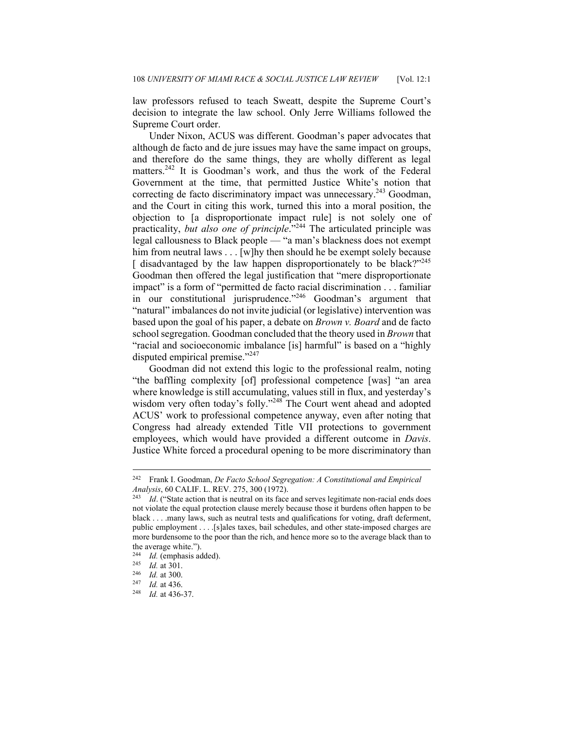law professors refused to teach Sweatt, despite the Supreme Court's decision to integrate the law school. Only Jerre Williams followed the Supreme Court order.

Under Nixon, ACUS was different. Goodman's paper advocates that although de facto and de jure issues may have the same impact on groups, and therefore do the same things, they are wholly different as legal matters.<sup>242</sup> It is Goodman's work, and thus the work of the Federal Government at the time, that permitted Justice White's notion that correcting de facto discriminatory impact was unnecessary.<sup>243</sup> Goodman, and the Court in citing this work, turned this into a moral position, the objection to [a disproportionate impact rule] is not solely one of practicality, *but also one of principle*."<sup>244</sup> The articulated principle was legal callousness to Black people — "a man's blackness does not exempt him from neutral laws . . . [w] hy then should he be exempt solely because [ disadvantaged by the law happen disproportionately to be black?"245 Goodman then offered the legal justification that "mere disproportionate impact" is a form of "permitted de facto racial discrimination . . . familiar in our constitutional jurisprudence."<sup>246</sup> Goodman's argument that "natural" imbalances do not invite judicial (or legislative) intervention was based upon the goal of his paper, a debate on *Brown v. Board* and de facto school segregation. Goodman concluded that the theory used in *Brown* that "racial and socioeconomic imbalance [is] harmful" is based on a "highly disputed empirical premise."<sup>247</sup>

Goodman did not extend this logic to the professional realm, noting "the baffling complexity [of] professional competence [was] "an area where knowledge is still accumulating, values still in flux, and yesterday's wisdom very often today's folly."<sup>248</sup> The Court went ahead and adopted ACUS' work to professional competence anyway, even after noting that Congress had already extended Title VII protections to government employees, which would have provided a different outcome in *Davis*. Justice White forced a procedural opening to be more discriminatory than

<sup>242</sup> Frank I. Goodman, *De Facto School Segregation: A Constitutional and Empirical Analysis*, 60 CALIF. L. REV. 275, 300 (1972). 243 *Id*. ("State action that is neutral on its face and serves legitimate non-racial ends does

not violate the equal protection clause merely because those it burdens often happen to be black . . . .many laws, such as neutral tests and qualifications for voting, draft deferment, public employment . . . .[s]ales taxes, bail schedules, and other state-imposed charges are more burdensome to the poor than the rich, and hence more so to the average black than to the average white.").

<sup>244</sup> *Id.* (emphasis added). 245 *Id.* at 301. 246 *Id.* at 300. 247 *Id.* at 436. 248 *Id.* at 436-37.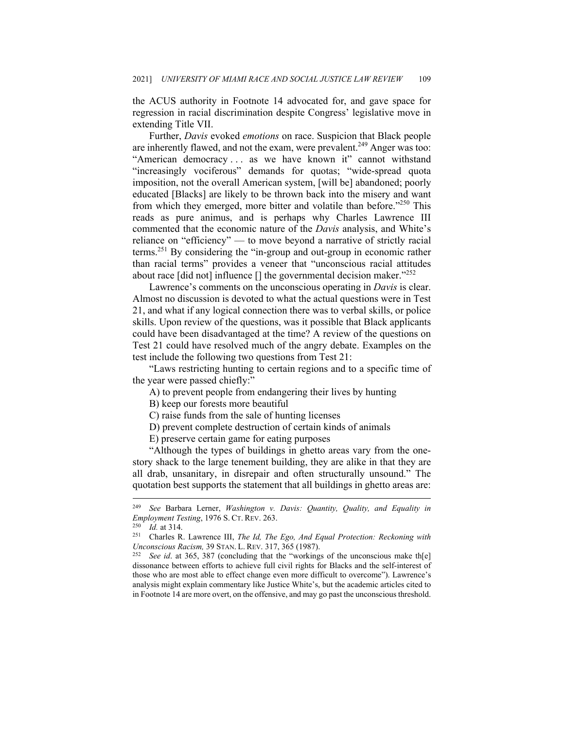the ACUS authority in Footnote 14 advocated for, and gave space for regression in racial discrimination despite Congress' legislative move in extending Title VII.

Further, *Davis* evoked *emotions* on race. Suspicion that Black people are inherently flawed, and not the exam, were prevalent.<sup>249</sup> Anger was too: "American democracy ... as we have known it" cannot withstand "increasingly vociferous" demands for quotas; "wide-spread quota imposition, not the overall American system, [will be] abandoned; poorly educated [Blacks] are likely to be thrown back into the misery and want from which they emerged, more bitter and volatile than before."<sup>250</sup> This reads as pure animus, and is perhaps why Charles Lawrence III commented that the economic nature of the *Davis* analysis, and White's reliance on "efficiency" — to move beyond a narrative of strictly racial terms.251 By considering the "in-group and out-group in economic rather than racial terms" provides a veneer that "unconscious racial attitudes about race [did not] influence  $\lceil \cdot \rceil$  the governmental decision maker.<sup>"252</sup>

Lawrence's comments on the unconscious operating in *Davis* is clear. Almost no discussion is devoted to what the actual questions were in Test 21, and what if any logical connection there was to verbal skills, or police skills. Upon review of the questions, was it possible that Black applicants could have been disadvantaged at the time? A review of the questions on Test 21 could have resolved much of the angry debate. Examples on the test include the following two questions from Test 21:

"Laws restricting hunting to certain regions and to a specific time of the year were passed chiefly:"

A) to prevent people from endangering their lives by hunting

B) keep our forests more beautiful

C) raise funds from the sale of hunting licenses

D) prevent complete destruction of certain kinds of animals

E) preserve certain game for eating purposes

"Although the types of buildings in ghetto areas vary from the onestory shack to the large tenement building, they are alike in that they are all drab, unsanitary, in disrepair and often structurally unsound." The quotation best supports the statement that all buildings in ghetto areas are:

<sup>249</sup> *See* Barbara Lerner, *Washington v. Davis: Quantity, Quality, and Equality in Employment Testing*, 1976 S. CT. REV. 263.<br><sup>250</sup> *Id.* at 314.<br><sup>251</sup> Charles R. Lawrence III, *The Id, The Ego, And Equal Protection: Reckoning with* 

*Unconscious Racism*, 39 STAN. L. REV. 317, 365 (1987).<br><sup>252</sup> See id. at 365, 387 (concluding that the "workings of the unconscious make th[e]

dissonance between efforts to achieve full civil rights for Blacks and the self-interest of those who are most able to effect change even more difficult to overcome"). Lawrence's analysis might explain commentary like Justice White's, but the academic articles cited to in Footnote 14 are more overt, on the offensive, and may go past the unconscious threshold.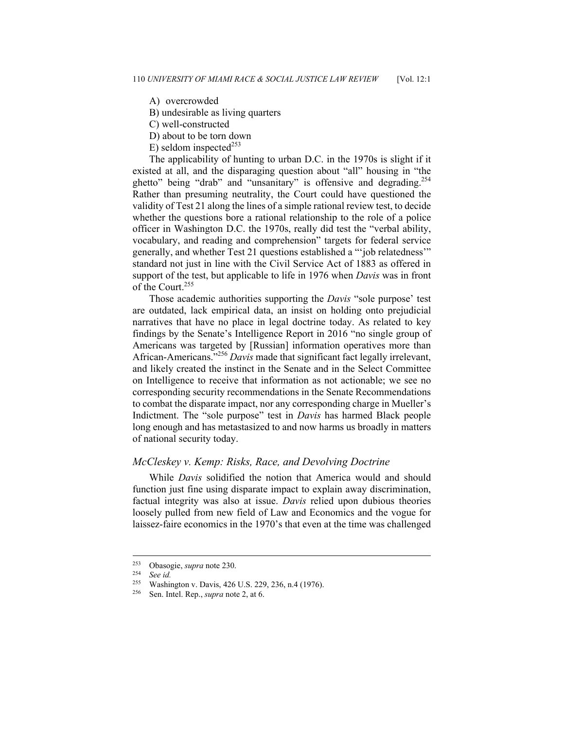- A) overcrowded
- B) undesirable as living quarters
- C) well-constructed
- D) about to be torn down
- E) seldom inspected<sup>253</sup>

The applicability of hunting to urban D.C. in the 1970s is slight if it existed at all, and the disparaging question about "all" housing in "the ghetto" being "drab" and "unsanitary" is offensive and degrading.<sup>254</sup> Rather than presuming neutrality, the Court could have questioned the validity of Test 21 along the lines of a simple rational review test, to decide whether the questions bore a rational relationship to the role of a police officer in Washington D.C. the 1970s, really did test the "verbal ability, vocabulary, and reading and comprehension" targets for federal service generally, and whether Test 21 questions established a "'job relatedness'" standard not just in line with the Civil Service Act of 1883 as offered in support of the test, but applicable to life in 1976 when *Davis* was in front of the Court.<sup>255</sup>

Those academic authorities supporting the *Davis* "sole purpose' test are outdated, lack empirical data, an insist on holding onto prejudicial narratives that have no place in legal doctrine today. As related to key findings by the Senate's Intelligence Report in 2016 "no single group of Americans was targeted by [Russian] information operatives more than African-Americans."<sup>256</sup> *Davis* made that significant fact legally irrelevant, and likely created the instinct in the Senate and in the Select Committee on Intelligence to receive that information as not actionable; we see no corresponding security recommendations in the Senate Recommendations to combat the disparate impact, nor any corresponding charge in Mueller's Indictment. The "sole purpose" test in *Davis* has harmed Black people long enough and has metastasized to and now harms us broadly in matters of national security today.

#### *McCleskey v. Kemp: Risks, Race, and Devolving Doctrine*

While *Davis* solidified the notion that America would and should function just fine using disparate impact to explain away discrimination, factual integrity was also at issue. *Davis* relied upon dubious theories loosely pulled from new field of Law and Economics and the vogue for laissez-faire economics in the 1970's that even at the time was challenged

<sup>253</sup> Obasogie, *supra* note 230. 254 *See id.*

<sup>255</sup> Washington v. Davis, 426 U.S. 229, 236, n.4 (1976). 256 Sen. Intel. Rep., *supra* note 2, at 6.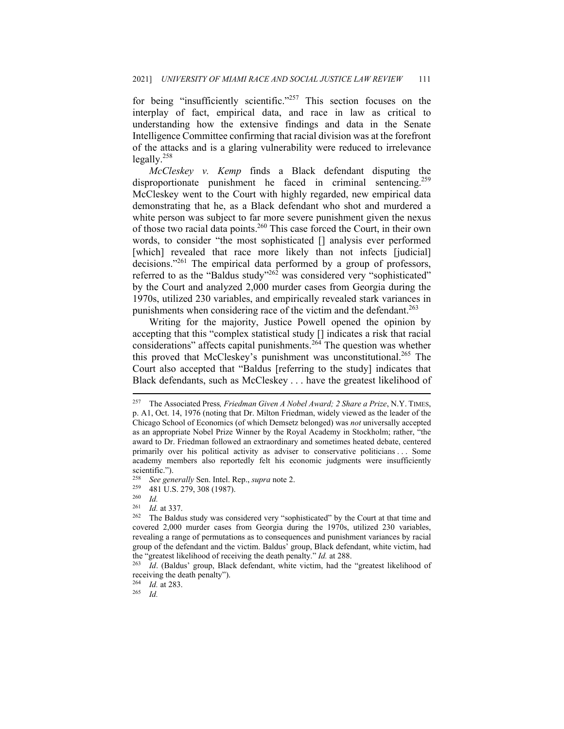for being "insufficiently scientific."<sup>257</sup> This section focuses on the interplay of fact, empirical data, and race in law as critical to understanding how the extensive findings and data in the Senate Intelligence Committee confirming that racial division was at the forefront of the attacks and is a glaring vulnerability were reduced to irrelevance legally.<sup>258</sup>

*McCleskey v. Kemp* finds a Black defendant disputing the disproportionate punishment he faced in criminal sentencing.<sup>259</sup> McCleskey went to the Court with highly regarded, new empirical data demonstrating that he, as a Black defendant who shot and murdered a white person was subject to far more severe punishment given the nexus of those two racial data points.<sup>260</sup> This case forced the Court, in their own words, to consider "the most sophisticated [] analysis ever performed [which] revealed that race more likely than not infects [judicial] decisions."261 The empirical data performed by a group of professors, referred to as the "Baldus study"<sup>262</sup> was considered very "sophisticated" by the Court and analyzed 2,000 murder cases from Georgia during the 1970s, utilized 230 variables, and empirically revealed stark variances in punishments when considering race of the victim and the defendant.<sup>263</sup>

Writing for the majority, Justice Powell opened the opinion by accepting that this "complex statistical study [] indicates a risk that racial considerations" affects capital punishments.<sup>264</sup> The question was whether this proved that McCleskey's punishment was unconstitutional.<sup>265</sup> The Court also accepted that "Baldus [referring to the study] indicates that Black defendants, such as McCleskey . . . have the greatest likelihood of

<sup>257</sup> The Associated Press*, Friedman Given A Nobel Award; 2 Share a Prize*, N.Y. TIMES, p. A1, Oct. 14, 1976 (noting that Dr. Milton Friedman, widely viewed as the leader of the Chicago School of Economics (of which Demsetz belonged) was *not* universally accepted as an appropriate Nobel Prize Winner by the Royal Academy in Stockholm; rather, "the award to Dr. Friedman followed an extraordinary and sometimes heated debate, centered primarily over his political activity as adviser to conservative politicians . . . Some academy members also reportedly felt his economic judgments were insufficiently scientific.").

<sup>258</sup> *See generally* Sen. Intel. Rep., *supra* note 2. 259 481 U.S. 279, 308 (1987). 260 *Id.*

<sup>&</sup>lt;sup>261</sup> *Id.* at 337.<br><sup>262</sup> The Baldus study was considered very "sophisticated" by the Court at that time and covered 2,000 murder cases from Georgia during the 1970s, utilized 230 variables, revealing a range of permutations as to consequences and punishment variances by racial group of the defendant and the victim. Baldus' group, Black defendant, white victim, had the "greatest likelihood of receiving the death penalty." *Id.* at 288.<br><sup>263</sup> *Id.* (Baldus' group, Black defendant, white victim, had the "greatest likelihood of

receiving the death penalty").

<sup>264</sup> *Id.* at 283. 265 *Id.*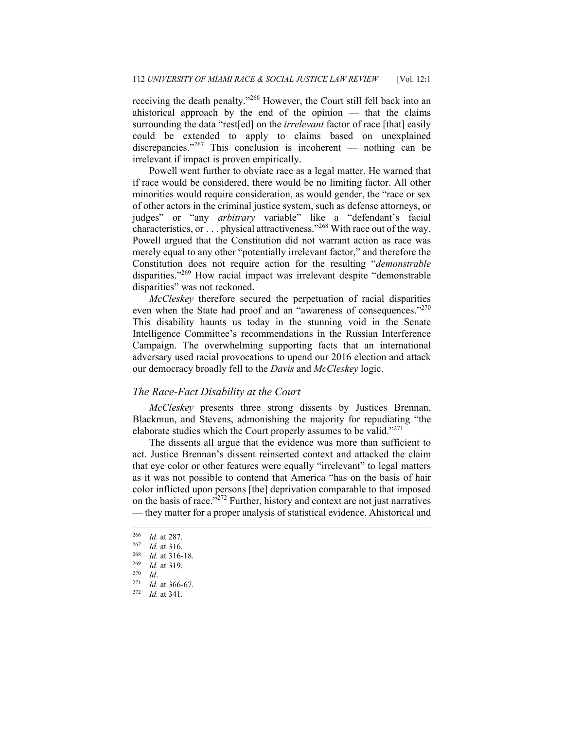receiving the death penalty."266 However, the Court still fell back into an ahistorical approach by the end of the opinion — that the claims surrounding the data "rest[ed] on the *irrelevant* factor of race [that] easily could be extended to apply to claims based on unexplained discrepancies."<sup>267</sup> This conclusion is incoherent — nothing can be irrelevant if impact is proven empirically.

Powell went further to obviate race as a legal matter. He warned that if race would be considered, there would be no limiting factor. All other minorities would require consideration, as would gender, the "race or sex of other actors in the criminal justice system, such as defense attorneys, or judges" or "any *arbitrary* variable" like a "defendant's facial characteristics, or . . . physical attractiveness."<sup>268</sup> With race out of the way, Powell argued that the Constitution did not warrant action as race was merely equal to any other "potentially irrelevant factor," and therefore the Constitution does not require action for the resulting "*demonstrable*  disparities."<sup>269</sup> How racial impact was irrelevant despite "demonstrable disparities" was not reckoned.

*McCleskey* therefore secured the perpetuation of racial disparities even when the State had proof and an "awareness of consequences."<sup>270</sup> This disability haunts us today in the stunning void in the Senate Intelligence Committee's recommendations in the Russian Interference Campaign. The overwhelming supporting facts that an international adversary used racial provocations to upend our 2016 election and attack our democracy broadly fell to the *Davis* and *McCleskey* logic.

#### *The Race-Fact Disability at the Court*

*McCleskey* presents three strong dissents by Justices Brennan, Blackmun, and Stevens, admonishing the majority for repudiating "the elaborate studies which the Court properly assumes to be valid."<sup>271</sup>

The dissents all argue that the evidence was more than sufficient to act. Justice Brennan's dissent reinserted context and attacked the claim that eye color or other features were equally "irrelevant" to legal matters as it was not possible to contend that America "has on the basis of hair color inflicted upon persons [the] deprivation comparable to that imposed on the basis of race." $^{272}$  Further, history and context are not just narratives — they matter for a proper analysis of statistical evidence. Ahistorical and

<sup>266</sup> *Id.* at 287. 267 *Id.* at 316. 268 *Id.* at 316-18. 269 *Id.* at 319. 270 *Id*. 271 *Id.* at 366-67. 272 *Id.* at 341.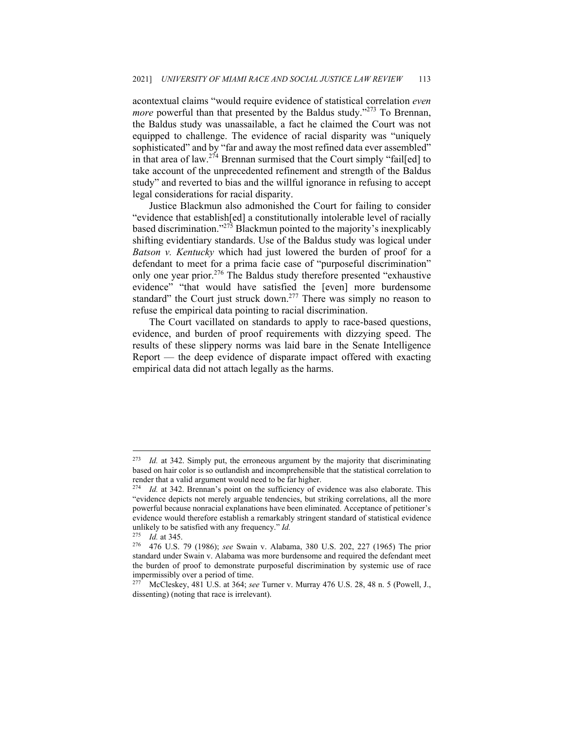acontextual claims "would require evidence of statistical correlation *even more* powerful than that presented by the Baldus study."<sup>273</sup> To Brennan, the Baldus study was unassailable, a fact he claimed the Court was not equipped to challenge. The evidence of racial disparity was "uniquely sophisticated" and by "far and away the most refined data ever assembled" in that area of law.<sup>274</sup> Brennan surmised that the Court simply "fail[ed] to take account of the unprecedented refinement and strength of the Baldus study" and reverted to bias and the willful ignorance in refusing to accept legal considerations for racial disparity.

Justice Blackmun also admonished the Court for failing to consider "evidence that establish[ed] a constitutionally intolerable level of racially based discrimination."275 Blackmun pointed to the majority's inexplicably shifting evidentiary standards. Use of the Baldus study was logical under *Batson v. Kentucky* which had just lowered the burden of proof for a defendant to meet for a prima facie case of "purposeful discrimination" only one year prior.<sup>276</sup> The Baldus study therefore presented "exhaustive" evidence" "that would have satisfied the [even] more burdensome standard" the Court just struck down.<sup>277</sup> There was simply no reason to refuse the empirical data pointing to racial discrimination.

The Court vacillated on standards to apply to race-based questions, evidence, and burden of proof requirements with dizzying speed. The results of these slippery norms was laid bare in the Senate Intelligence Report — the deep evidence of disparate impact offered with exacting empirical data did not attach legally as the harms.

<sup>273</sup> *Id.* at 342. Simply put, the erroneous argument by the majority that discriminating based on hair color is so outlandish and incomprehensible that the statistical correlation to

render that a valid argument would need to be far higher. 274 *Id.* at 342. Brennan's point on the sufficiency of evidence was also elaborate. This "evidence depicts not merely arguable tendencies, but striking correlations, all the more powerful because nonracial explanations have been eliminated. Acceptance of petitioner's evidence would therefore establish a remarkably stringent standard of statistical evidence unlikely to be satisfied with any frequency." *Id.*

<sup>275</sup> *Id.* at 345. 276 476 U.S. 79 (1986); *see* Swain v. Alabama, 380 U.S. 202, 227 (1965) The prior standard under Swain v. Alabama was more burdensome and required the defendant meet the burden of proof to demonstrate purposeful discrimination by systemic use of race impermissibly over a period of time.

<sup>277</sup> McCleskey, 481 U.S. at 364; *see* Turner v. Murray 476 U.S. 28, 48 n. 5 (Powell, J., dissenting) (noting that race is irrelevant).